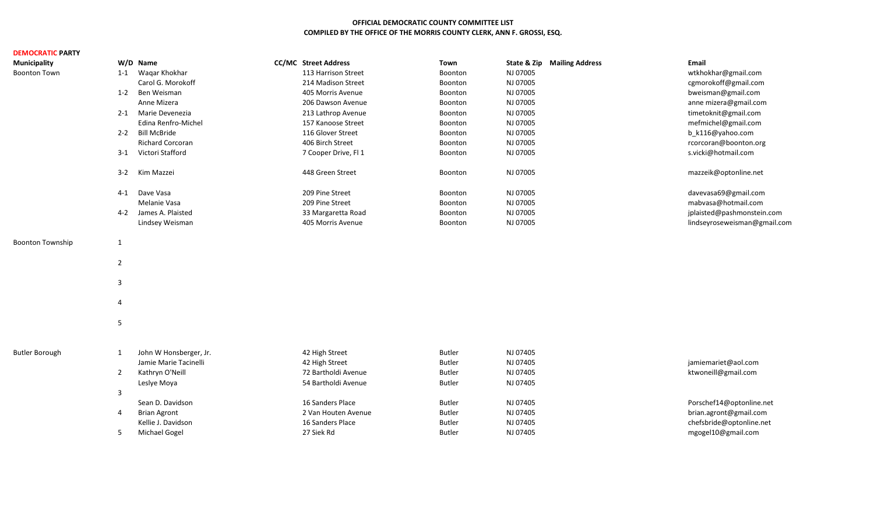## **OFFICIAL DEMOCRATIC COUNTY COMMITTEE LIST COMPILED BY THE OFFICE OF THE MORRIS COUNTY CLERK, ANN F. GROSSI, ESQ.**

| <b>DEMOCRATIC PARTY</b> |                |                         |                             |               |                                        |                              |
|-------------------------|----------------|-------------------------|-----------------------------|---------------|----------------------------------------|------------------------------|
| <b>Municipality</b>     |                | W/D Name                | <b>CC/MC</b> Street Address | Town          | <b>State &amp; Zip Mailing Address</b> | Email                        |
| <b>Boonton Town</b>     | $1 - 1$        | Waqar Khokhar           | 113 Harrison Street         | Boonton       | NJ 07005                               | wtkhokhar@gmail.com          |
|                         |                | Carol G. Morokoff       | 214 Madison Street          | Boonton       | NJ 07005                               | cgmorokoff@gmail.com         |
|                         | $1 - 2$        | Ben Weisman             | 405 Morris Avenue           | Boonton       | NJ 07005                               | bweisman@gmail.com           |
|                         |                | Anne Mizera             | 206 Dawson Avenue           | Boonton       | NJ 07005                               | anne mizera@gmail.com        |
|                         | $2 - 1$        | Marie Devenezia         | 213 Lathrop Avenue          | Boonton       | NJ 07005                               | timetoknit@gmail.com         |
|                         |                | Edina Renfro-Michel     | 157 Kanoose Street          | Boonton       | NJ 07005                               | mefmichel@gmail.com          |
|                         | $2 - 2$        | <b>Bill McBride</b>     | 116 Glover Street           | Boonton       | NJ 07005                               | b_k116@yahoo.com             |
|                         |                | <b>Richard Corcoran</b> | 406 Birch Street            | Boonton       | NJ 07005                               | rcorcoran@boonton.org        |
|                         | $3 - 1$        | Victori Stafford        | 7 Cooper Drive, Fl 1        | Boonton       | NJ 07005                               | s.vicki@hotmail.com          |
|                         | $3 - 2$        | Kim Mazzei              | 448 Green Street            | Boonton       | NJ 07005                               | mazzeik@optonline.net        |
|                         | 4-1            | Dave Vasa               | 209 Pine Street             | Boonton       | NJ 07005                               | davevasa69@gmail.com         |
|                         |                | Melanie Vasa            | 209 Pine Street             | Boonton       | NJ 07005                               | mabvasa@hotmail.com          |
|                         | 4-2            | James A. Plaisted       | 33 Margaretta Road          | Boonton       | NJ 07005                               | jplaisted@pashmonstein.com   |
|                         |                | Lindsey Weisman         | 405 Morris Avenue           | Boonton       | NJ 07005                               | lindseyroseweisman@gmail.com |
| <b>Boonton Township</b> | 1              |                         |                             |               |                                        |                              |
|                         | $\overline{2}$ |                         |                             |               |                                        |                              |
|                         | 3              |                         |                             |               |                                        |                              |
|                         | 4              |                         |                             |               |                                        |                              |
|                         | 5              |                         |                             |               |                                        |                              |
|                         |                |                         |                             |               |                                        |                              |
| <b>Butler Borough</b>   | 1              | John W Honsberger, Jr.  | 42 High Street              | <b>Butler</b> | NJ 07405                               |                              |
|                         |                | Jamie Marie Tacinelli   | 42 High Street              | <b>Butler</b> | NJ 07405                               | jamiemariet@aol.com          |
|                         | $\overline{2}$ | Kathryn O'Neill         | 72 Bartholdi Avenue         | <b>Butler</b> | NJ 07405                               | ktwoneill@gmail.com          |
|                         |                | Leslye Moya             | 54 Bartholdi Avenue         | <b>Butler</b> | NJ 07405                               |                              |
|                         | 3              |                         |                             |               |                                        |                              |
|                         |                | Sean D. Davidson        | 16 Sanders Place            | <b>Butler</b> | NJ 07405                               | Porschef14@optonline.net     |
|                         | 4              | <b>Brian Agront</b>     | 2 Van Houten Avenue         | <b>Butler</b> | NJ 07405                               | brian.agront@gmail.com       |
|                         |                | Kellie J. Davidson      | 16 Sanders Place            | <b>Butler</b> | NJ 07405                               | chefsbride@optonline.net     |
|                         | -5             | <b>Michael Gogel</b>    | 27 Siek Rd                  | <b>Butler</b> | NJ 07405                               | mgogel10@gmail.com           |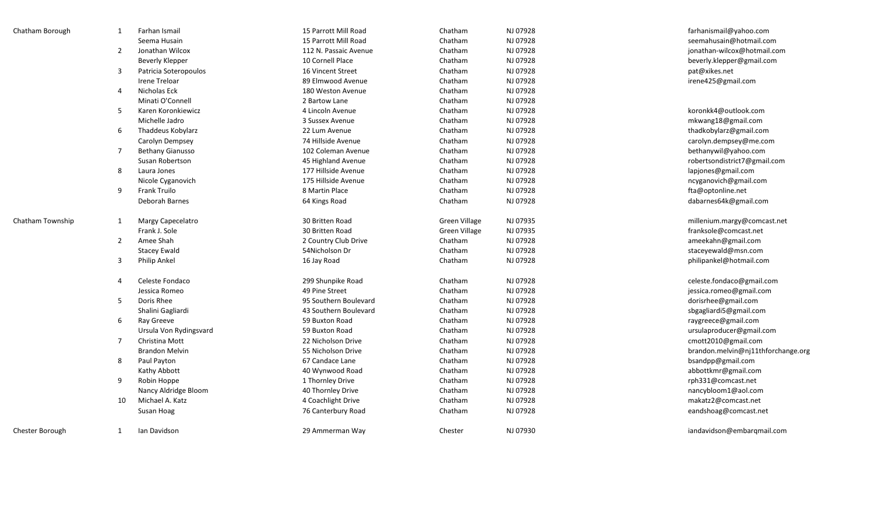| Chatham Borough  | 1              | Farhan Ismail           | 15 Parrott Mill Road  | Chatham       | NJ 07928 | farhanismail@yahoo.com             |
|------------------|----------------|-------------------------|-----------------------|---------------|----------|------------------------------------|
|                  |                | Seema Husain            | 15 Parrott Mill Road  | Chatham       | NJ 07928 | seemahusain@hotmail.com            |
|                  | $\overline{2}$ | Jonathan Wilcox         | 112 N. Passaic Avenue | Chatham       | NJ 07928 | jonathan-wilcox@hotmail.com        |
|                  |                | Beverly Klepper         | 10 Cornell Place      | Chatham       | NJ 07928 | beverly.klepper@gmail.com          |
|                  | 3              | Patricia Soteropoulos   | 16 Vincent Street     | Chatham       | NJ 07928 | pat@xikes.net                      |
|                  |                | <b>Irene Treloar</b>    | 89 Elmwood Avenue     | Chatham       | NJ 07928 | irene425@gmail.com                 |
|                  | $\overline{4}$ | Nicholas Eck            | 180 Weston Avenue     | Chatham       | NJ 07928 |                                    |
|                  |                | Minati O'Connell        | 2 Bartow Lane         | Chatham       | NJ 07928 |                                    |
|                  | 5              | Karen Koronkiewicz      | 4 Lincoln Avenue      | Chatham       | NJ 07928 | koronkk4@outlook.com               |
|                  |                | Michelle Jadro          | 3 Sussex Avenue       | Chatham       | NJ 07928 | mkwang18@gmail.com                 |
|                  | 6              | Thaddeus Kobylarz       | 22 Lum Avenue         | Chatham       | NJ 07928 | thadkobylarz@gmail.com             |
|                  |                | Carolyn Dempsey         | 74 Hillside Avenue    | Chatham       | NJ 07928 | carolyn.dempsey@me.com             |
|                  | $\overline{7}$ | <b>Bethany Gianusso</b> | 102 Coleman Avenue    | Chatham       | NJ 07928 | bethanywil@yahoo.com               |
|                  |                | Susan Robertson         | 45 Highland Avenue    | Chatham       | NJ 07928 | robertsondistrict7@gmail.com       |
|                  | 8              | Laura Jones             | 177 Hillside Avenue   | Chatham       | NJ 07928 | lapjones@gmail.com                 |
| 9                |                | Nicole Cyganovich       | 175 Hillside Avenue   | Chatham       | NJ 07928 | ncyganovich@gmail.com              |
|                  |                | Frank Truilo            | 8 Martin Place        | Chatham       | NJ 07928 | fta@optonline.net                  |
|                  |                | Deborah Barnes          | 64 Kings Road         | Chatham       | NJ 07928 | dabarnes64k@gmail.com              |
| Chatham Township | 1              | Margy Capecelatro       | 30 Britten Road       | Green Village | NJ 07935 | millenium.margy@comcast.net        |
|                  |                | Frank J. Sole           | 30 Britten Road       | Green Village | NJ 07935 | franksole@comcast.net              |
|                  | $\overline{2}$ | Amee Shah               | 2 Country Club Drive  | Chatham       | NJ 07928 | ameekahn@gmail.com                 |
|                  |                | <b>Stacey Ewald</b>     | 54Nicholson Dr        | Chatham       | NJ 07928 | staceyewald@msn.com                |
|                  | 3              | Philip Ankel            | 16 Jay Road           | Chatham       | NJ 07928 | philipankel@hotmail.com            |
|                  | 4              | Celeste Fondaco         | 299 Shunpike Road     | Chatham       | NJ 07928 | celeste.fondaco@gmail.com          |
|                  |                | Jessica Romeo           | 49 Pine Street        | Chatham       | NJ 07928 | jessica.romeo@gmail.com            |
|                  | 5              | Doris Rhee              | 95 Southern Boulevard | Chatham       | NJ 07928 | dorisrhee@gmail.com                |
|                  |                | Shalini Gagliardi       | 43 Southern Boulevard | Chatham       | NJ 07928 | sbgagliardi5@gmail.com             |
|                  | 6              | Ray Greeve              | 59 Buxton Road        | Chatham       | NJ 07928 | raygreece@gmail.com                |
|                  |                | Ursula Von Rydingsvard  | 59 Buxton Road        | Chatham       | NJ 07928 | ursulaproducer@gmail.com           |
|                  | 7              | Christina Mott          | 22 Nicholson Drive    | Chatham       | NJ 07928 | cmott2010@gmail.com                |
|                  |                | <b>Brandon Melvin</b>   | 55 Nicholson Drive    | Chatham       | NJ 07928 | brandon.melvin@nj11thforchange.org |
|                  | 8              | Paul Payton             | 67 Candace Lane       | Chatham       | NJ 07928 | bsandpp@gmail.com                  |
|                  |                | Kathy Abbott            | 40 Wynwood Road       | Chatham       | NJ 07928 | abbottkmr@gmail.com                |
|                  | 9              | Robin Hoppe             | 1 Thornley Drive      | Chatham       | NJ 07928 | rph331@comcast.net                 |
|                  |                | Nancy Aldridge Bloom    | 40 Thornley Drive     | Chatham       | NJ 07928 | nancybloom1@aol.com                |
|                  | 10             | Michael A. Katz         | 4 Coachlight Drive    | Chatham       | NJ 07928 | makatz2@comcast.net                |
|                  |                | Susan Hoag              | 76 Canterbury Road    | Chatham       | NJ 07928 | eandshoag@comcast.net              |
| Chester Borough  | 1              | Ian Davidson            | 29 Ammerman Way       | Chester       | NJ 07930 | iandavidson@embargmail.com         |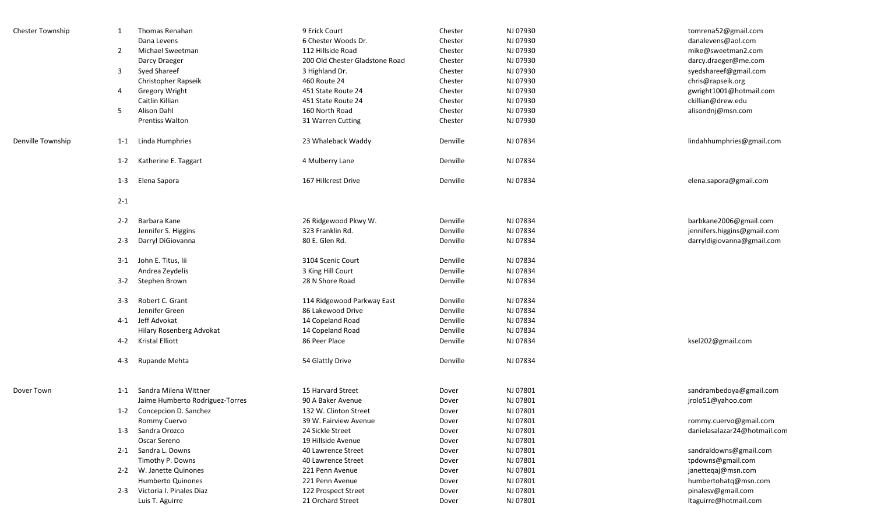| <b>Chester Township</b> | 1       | Thomas Renahan                  | 9 Erick Court                  | Chester  | NJ 07930 | tomrena52@gmail.com          |
|-------------------------|---------|---------------------------------|--------------------------------|----------|----------|------------------------------|
|                         |         | Dana Levens                     | 6 Chester Woods Dr.            | Chester  | NJ 07930 | danalevens@aol.com           |
|                         | 2       | Michael Sweetman                | 112 Hillside Road              | Chester  | NJ 07930 | mike@sweetman2.com           |
|                         |         | Darcy Draeger                   | 200 Old Chester Gladstone Road | Chester  | NJ 07930 | darcy.draeger@me.com         |
|                         | 3       | <b>Syed Shareef</b>             | 3 Highland Dr.                 | Chester  | NJ 07930 | syedshareef@gmail.com        |
|                         |         | Christopher Rapseik             | 460 Route 24                   | Chester  | NJ 07930 | chris@rapseik.org            |
|                         | 4       | <b>Gregory Wright</b>           | 451 State Route 24             | Chester  | NJ 07930 | gwright1001@hotmail.com      |
|                         |         | Caitlin Killian                 | 451 State Route 24             | Chester  | NJ 07930 | ckillian@drew.edu            |
|                         | 5       | Alison Dahl                     | 160 North Road                 | Chester  | NJ 07930 | alisondnj@msn.com            |
|                         |         | <b>Prentiss Walton</b>          | 31 Warren Cutting              | Chester  | NJ 07930 |                              |
| Denville Township       | 1-1     | Linda Humphries                 | 23 Whaleback Waddy             | Denville | NJ 07834 | lindahhumphries@gmail.com    |
|                         | $1 - 2$ | Katherine E. Taggart            | 4 Mulberry Lane                | Denville | NJ 07834 |                              |
|                         | $1 - 3$ | Elena Sapora                    | 167 Hillcrest Drive            | Denville | NJ 07834 | elena.sapora@gmail.com       |
|                         | $2 - 1$ |                                 |                                |          |          |                              |
|                         |         | 2-2 Barbara Kane                | 26 Ridgewood Pkwy W.           | Denville | NJ 07834 | barbkane2006@gmail.com       |
|                         |         | Jennifer S. Higgins             | 323 Franklin Rd.               | Denville | NJ 07834 | jennifers.higgins@gmail.com  |
|                         | $2 - 3$ | Darryl DiGiovanna               | 80 E. Glen Rd.                 | Denville | NJ 07834 | darryldigiovanna@gmail.com   |
|                         |         | 3-1 John E. Titus, lii          | 3104 Scenic Court              | Denville | NJ 07834 |                              |
|                         |         | Andrea Zeydelis                 | 3 King Hill Court              | Denville | NJ 07834 |                              |
|                         |         | 3-2 Stephen Brown               | 28 N Shore Road                | Denville | NJ 07834 |                              |
|                         | $3 - 3$ | Robert C. Grant                 | 114 Ridgewood Parkway East     | Denville | NJ 07834 |                              |
|                         |         | Jennifer Green                  | 86 Lakewood Drive              | Denville | NJ 07834 |                              |
|                         |         | 4-1 Jeff Advokat                | 14 Copeland Road               | Denville | NJ 07834 |                              |
|                         |         | Hilary Rosenberg Advokat        | 14 Copeland Road               | Denville | NJ 07834 |                              |
|                         |         | 4-2 Kristal Elliott             | 86 Peer Place                  | Denville | NJ 07834 | ksel202@gmail.com            |
|                         | $4 - 3$ | Rupande Mehta                   | 54 Glattly Drive               | Denville | NJ 07834 |                              |
| Dover Town              | $1 - 1$ | Sandra Milena Wittner           | 15 Harvard Street              | Dover    | NJ 07801 | sandrambedoya@gmail.com      |
|                         |         | Jaime Humberto Rodriguez-Torres | 90 A Baker Avenue              | Dover    | NJ 07801 | jrolo51@yahoo.com            |
|                         |         | 1-2 Concepcion D. Sanchez       | 132 W. Clinton Street          | Dover    | NJ 07801 |                              |
|                         |         | Rommy Cuervo                    | 39 W. Fairview Avenue          | Dover    | NJ 07801 | rommy.cuervo@gmail.com       |
|                         |         | 1-3 Sandra Orozco               | 24 Sickle Street               | Dover    | NJ 07801 | danielasalazar24@hotmail.com |
|                         |         | Oscar Sereno                    | 19 Hillside Avenue             | Dover    | NJ 07801 |                              |
|                         |         | 2-1 Sandra L. Downs             | 40 Lawrence Street             | Dover    | NJ 07801 | sandraldowns@gmail.com       |
|                         |         | Timothy P. Downs                | 40 Lawrence Street             | Dover    | NJ 07801 | tpdowns@gmail.com            |
|                         |         | 2-2 W. Janette Quinones         | 221 Penn Avenue                | Dover    | NJ 07801 | janetteqaj@msn.com           |
|                         |         | Humberto Quinones               | 221 Penn Avenue                | Dover    | NJ 07801 | humbertohatq@msn.com         |
|                         |         | 2-3 Victoria I. Pinales Diaz    | 122 Prospect Street            | Dover    | NJ 07801 | pinalesv@gmail.com           |
|                         |         | Luis T. Aguirre                 | 21 Orchard Street              | Dover    | NJ 07801 | ltaguirre@hotmail.com        |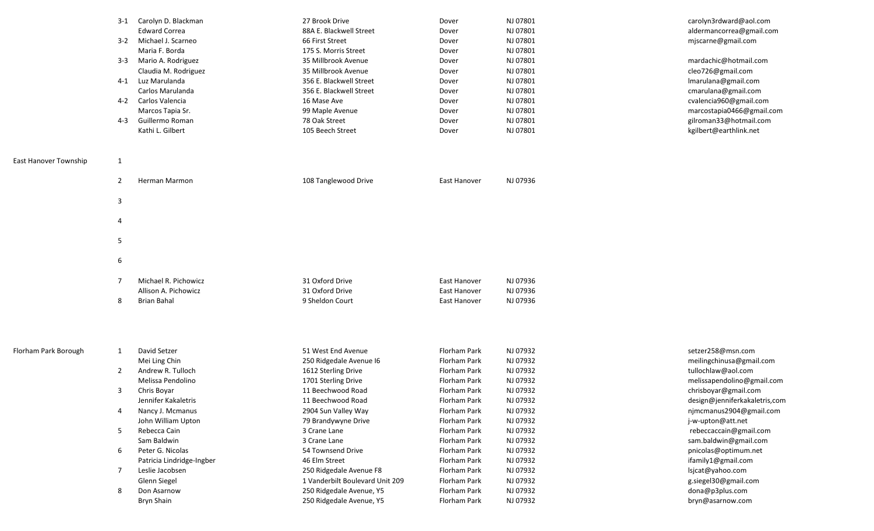|                       | 3-1<br>$3 - 2$<br>$3 - 3$<br>$4 - 1$<br>4-2<br>$4 - 3$ | Carolyn D. Blackman<br><b>Edward Correa</b><br>Michael J. Scarneo<br>Maria F. Borda<br>Mario A. Rodriguez<br>Claudia M. Rodriguez<br>Luz Marulanda<br>Carlos Marulanda<br>Carlos Valencia<br>Marcos Tapia Sr.<br>Guillermo Roman<br>Kathi L. Gilbert | 27 Brook Drive<br>88A E. Blackwell Street<br>66 First Street<br>175 S. Morris Street<br>35 Millbrook Avenue<br>35 Millbrook Avenue<br>356 E. Blackwell Street<br>356 E. Blackwell Street<br>16 Mase Ave<br>99 Maple Avenue<br>78 Oak Street<br>105 Beech Street | Dover<br>Dover<br>Dover<br>Dover<br>Dover<br>Dover<br>Dover<br>Dover<br>Dover<br>Dover<br>Dover<br>Dover | NJ 07801<br>NJ 07801<br>NJ 07801<br>NJ 07801<br>NJ 07801<br>NJ 07801<br>NJ 07801<br>NJ 07801<br>NJ 07801<br>NJ 07801<br>NJ 07801<br>NJ 07801 | carolyn3rdward@aol.com<br>aldermancorrea@gmail.com<br>mjscarne@gmail.com<br>mardachic@hotmail.com<br>cleo726@gmail.com<br>Imarulana@gmail.com<br>cmarulana@gmail.com<br>cvalencia960@gmail.com<br>marcostapia0466@gmail.com<br>gilroman33@hotmail.com<br>kgilbert@earthlink.net |
|-----------------------|--------------------------------------------------------|------------------------------------------------------------------------------------------------------------------------------------------------------------------------------------------------------------------------------------------------------|-----------------------------------------------------------------------------------------------------------------------------------------------------------------------------------------------------------------------------------------------------------------|----------------------------------------------------------------------------------------------------------|----------------------------------------------------------------------------------------------------------------------------------------------|---------------------------------------------------------------------------------------------------------------------------------------------------------------------------------------------------------------------------------------------------------------------------------|
| East Hanover Township | $\mathbf{1}$                                           |                                                                                                                                                                                                                                                      |                                                                                                                                                                                                                                                                 |                                                                                                          |                                                                                                                                              |                                                                                                                                                                                                                                                                                 |
|                       | 2                                                      | Herman Marmon                                                                                                                                                                                                                                        | 108 Tanglewood Drive                                                                                                                                                                                                                                            | East Hanover                                                                                             | NJ 07936                                                                                                                                     |                                                                                                                                                                                                                                                                                 |
|                       | 3                                                      |                                                                                                                                                                                                                                                      |                                                                                                                                                                                                                                                                 |                                                                                                          |                                                                                                                                              |                                                                                                                                                                                                                                                                                 |
|                       | 4                                                      |                                                                                                                                                                                                                                                      |                                                                                                                                                                                                                                                                 |                                                                                                          |                                                                                                                                              |                                                                                                                                                                                                                                                                                 |
|                       | 5                                                      |                                                                                                                                                                                                                                                      |                                                                                                                                                                                                                                                                 |                                                                                                          |                                                                                                                                              |                                                                                                                                                                                                                                                                                 |
|                       | 6                                                      |                                                                                                                                                                                                                                                      |                                                                                                                                                                                                                                                                 |                                                                                                          |                                                                                                                                              |                                                                                                                                                                                                                                                                                 |
|                       | $\overline{7}$<br>8                                    | Michael R. Pichowicz<br>Allison A. Pichowicz<br>Brian Bahal                                                                                                                                                                                          | 31 Oxford Drive<br>31 Oxford Drive<br>9 Sheldon Court                                                                                                                                                                                                           | East Hanover<br>East Hanover<br>East Hanover                                                             | NJ 07936<br>NJ 07936<br>NJ 07936                                                                                                             |                                                                                                                                                                                                                                                                                 |
| Florham Park Borough  | $\mathbf{1}$                                           | David Setzer                                                                                                                                                                                                                                         | 51 West End Avenue                                                                                                                                                                                                                                              | Florham Park                                                                                             | NJ 07932                                                                                                                                     | setzer258@msn.com                                                                                                                                                                                                                                                               |
|                       |                                                        | Mei Ling Chin                                                                                                                                                                                                                                        | 250 Ridgedale Avenue I6                                                                                                                                                                                                                                         | Florham Park                                                                                             | NJ 07932                                                                                                                                     | meilingchinusa@gmail.com                                                                                                                                                                                                                                                        |
|                       | $\overline{2}$                                         | Andrew R. Tulloch                                                                                                                                                                                                                                    | 1612 Sterling Drive                                                                                                                                                                                                                                             | Florham Park                                                                                             | NJ 07932                                                                                                                                     | tullochlaw@aol.com                                                                                                                                                                                                                                                              |
|                       |                                                        | Melissa Pendolino                                                                                                                                                                                                                                    | 1701 Sterling Drive                                                                                                                                                                                                                                             | Florham Park                                                                                             | NJ 07932                                                                                                                                     | melissapendolino@gmail.com                                                                                                                                                                                                                                                      |
|                       | 3                                                      | Chris Boyar                                                                                                                                                                                                                                          | 11 Beechwood Road                                                                                                                                                                                                                                               | Florham Park                                                                                             | NJ 07932                                                                                                                                     | chrisboyar@gmail.com                                                                                                                                                                                                                                                            |
|                       | 4                                                      | Jennifer Kakaletris<br>Nancy J. Mcmanus                                                                                                                                                                                                              | 11 Beechwood Road<br>2904 Sun Valley Way                                                                                                                                                                                                                        | Florham Park<br>Florham Park                                                                             | NJ 07932<br>NJ 07932                                                                                                                         | design@jenniferkakaletris,com<br>njmcmanus2904@gmail.com                                                                                                                                                                                                                        |
|                       |                                                        | John William Upton                                                                                                                                                                                                                                   | 79 Brandywyne Drive                                                                                                                                                                                                                                             | Florham Park                                                                                             | NJ 07932                                                                                                                                     | j-w-upton@att.net                                                                                                                                                                                                                                                               |
|                       | 5                                                      | Rebecca Cain                                                                                                                                                                                                                                         | 3 Crane Lane                                                                                                                                                                                                                                                    | Florham Park                                                                                             | NJ 07932                                                                                                                                     | rebeccaccain@gmail.com                                                                                                                                                                                                                                                          |
|                       |                                                        | Sam Baldwin                                                                                                                                                                                                                                          | 3 Crane Lane                                                                                                                                                                                                                                                    | Florham Park                                                                                             | NJ 07932                                                                                                                                     | sam.baldwin@gmail.com                                                                                                                                                                                                                                                           |
|                       | 6                                                      | Peter G. Nicolas                                                                                                                                                                                                                                     | 54 Townsend Drive                                                                                                                                                                                                                                               | Florham Park                                                                                             | NJ 07932                                                                                                                                     | pnicolas@optimum.net                                                                                                                                                                                                                                                            |
|                       |                                                        | Patricia Lindridge-Ingber                                                                                                                                                                                                                            | 46 Elm Street                                                                                                                                                                                                                                                   | Florham Park                                                                                             | NJ 07932                                                                                                                                     | ifamily1@gmail.com                                                                                                                                                                                                                                                              |
|                       | $\overline{7}$                                         | Leslie Jacobsen                                                                                                                                                                                                                                      | 250 Ridgedale Avenue F8                                                                                                                                                                                                                                         | Florham Park                                                                                             | NJ 07932                                                                                                                                     | lsjcat@yahoo.com                                                                                                                                                                                                                                                                |
|                       |                                                        | Glenn Siegel                                                                                                                                                                                                                                         | 1 Vanderbilt Boulevard Unit 209                                                                                                                                                                                                                                 | Florham Park                                                                                             | NJ 07932                                                                                                                                     | g.siegel30@gmail.com                                                                                                                                                                                                                                                            |
|                       | 8                                                      | Don Asarnow                                                                                                                                                                                                                                          | 250 Ridgedale Avenue, Y5                                                                                                                                                                                                                                        | Florham Park                                                                                             | NJ 07932                                                                                                                                     | dona@p3plus.com                                                                                                                                                                                                                                                                 |
|                       |                                                        | Bryn Shain                                                                                                                                                                                                                                           | 250 Ridgedale Avenue, Y5                                                                                                                                                                                                                                        | Florham Park                                                                                             | NJ 07932                                                                                                                                     | bryn@asarnow.com                                                                                                                                                                                                                                                                |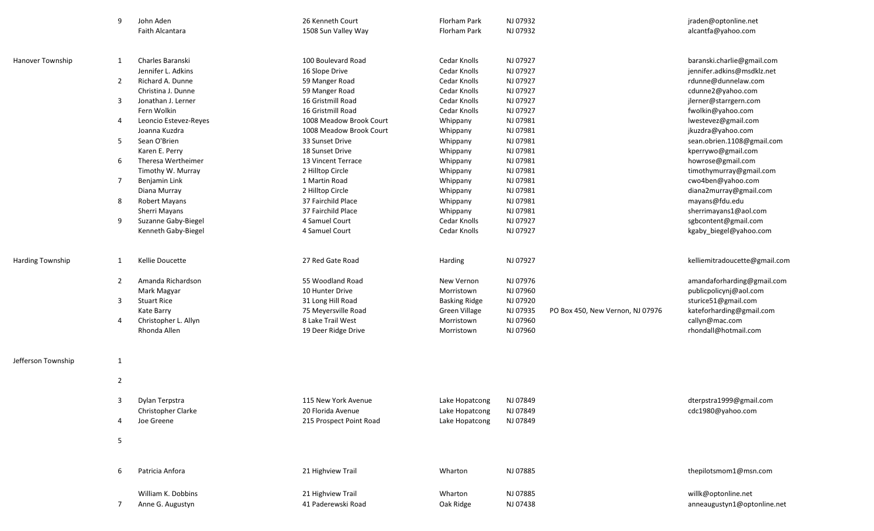|                         | 9              | John Aden<br>Faith Alcantara | 26 Kenneth Court<br>1508 Sun Valley Way | Florham Park<br>Florham Park | NJ 07932<br>NJ 07932 |                                  | jraden@optonline.net<br>alcantfa@yahoo.com |
|-------------------------|----------------|------------------------------|-----------------------------------------|------------------------------|----------------------|----------------------------------|--------------------------------------------|
|                         |                |                              |                                         |                              |                      |                                  |                                            |
|                         |                |                              |                                         |                              |                      |                                  |                                            |
| <b>Hanover Township</b> | 1              | Charles Baranski             | 100 Boulevard Road                      | Cedar Knolls                 | NJ 07927             |                                  | baranski.charlie@gmail.com                 |
|                         |                | Jennifer L. Adkins           | 16 Slope Drive                          | Cedar Knolls                 | NJ 07927             |                                  | jennifer.adkins@msdklz.net                 |
|                         | $\overline{2}$ | Richard A. Dunne             | 59 Manger Road                          | Cedar Knolls                 | NJ 07927             |                                  | rdunne@dunnelaw.com                        |
|                         |                | Christina J. Dunne           | 59 Manger Road                          | Cedar Knolls                 | NJ 07927             |                                  | cdunne2@yahoo.com                          |
|                         | 3              | Jonathan J. Lerner           | 16 Gristmill Road                       | Cedar Knolls                 | NJ 07927             |                                  | jlerner@starrgern.com                      |
|                         |                | Fern Wolkin                  | 16 Gristmill Road                       | Cedar Knolls                 | NJ 07927             |                                  | fwolkin@yahoo.com                          |
|                         | 4              | Leoncio Estevez-Reyes        | 1008 Meadow Brook Court                 | Whippany                     | NJ 07981             |                                  | lwestevez@gmail.com                        |
|                         |                | Joanna Kuzdra                | 1008 Meadow Brook Court                 | Whippany                     | NJ 07981             |                                  | jkuzdra@yahoo.com                          |
|                         | 5              | Sean O'Brien                 | 33 Sunset Drive                         | Whippany                     | NJ 07981             |                                  | sean.obrien.1108@gmail.com                 |
|                         |                | Karen E. Perry               | 18 Sunset Drive                         | Whippany                     | NJ 07981             |                                  | kperrywo@gmail.com                         |
|                         | 6              | Theresa Wertheimer           | 13 Vincent Terrace                      | Whippany                     | NJ 07981             |                                  | howrose@gmail.com                          |
|                         |                | Timothy W. Murray            | 2 Hilltop Circle                        | Whippany                     | NJ 07981             |                                  | timothymurray@gmail.com                    |
|                         | 7              | Benjamin Link                | 1 Martin Road                           | Whippany                     | NJ 07981             |                                  | cwo4ben@yahoo.com                          |
|                         |                | Diana Murray                 | 2 Hilltop Circle                        | Whippany                     | NJ 07981             |                                  | diana2murray@gmail.com                     |
|                         | 8              | Robert Mayans                | 37 Fairchild Place                      | Whippany                     | NJ 07981             |                                  | mayans@fdu.edu                             |
|                         |                | Sherri Mayans                | 37 Fairchild Place                      | Whippany                     | NJ 07981             |                                  | sherrimayans1@aol.com                      |
|                         | 9              | Suzanne Gaby-Biegel          | 4 Samuel Court                          | Cedar Knolls                 | NJ 07927             |                                  | sgbcontent@gmail.com                       |
|                         |                | Kenneth Gaby-Biegel          | 4 Samuel Court                          | Cedar Knolls                 | NJ 07927             |                                  | kgaby_biegel@yahoo.com                     |
|                         |                |                              |                                         |                              |                      |                                  |                                            |
|                         |                |                              |                                         |                              |                      |                                  |                                            |
| <b>Harding Township</b> | 1              | Kellie Doucette              | 27 Red Gate Road                        | Harding                      | NJ 07927             |                                  | kelliemitradoucette@gmail.com              |
|                         | $\overline{2}$ | Amanda Richardson            | 55 Woodland Road                        | New Vernon                   | NJ 07976             |                                  | amandaforharding@gmail.com                 |
|                         |                | Mark Magyar                  | 10 Hunter Drive                         | Morristown                   | NJ 07960             |                                  | publicpolicynj@aol.com                     |
|                         | 3              | <b>Stuart Rice</b>           | 31 Long Hill Road                       | <b>Basking Ridge</b>         | NJ 07920             |                                  | sturice51@gmail.com                        |
|                         |                | Kate Barry                   | 75 Meyersville Road                     | Green Village                | NJ 07935             | PO Box 450, New Vernon, NJ 07976 | kateforharding@gmail.com                   |
|                         | 4              | Christopher L. Allyn         | 8 Lake Trail West                       | Morristown                   | NJ 07960             |                                  | callyn@mac.com                             |
|                         |                | Rhonda Allen                 | 19 Deer Ridge Drive                     | Morristown                   | NJ 07960             |                                  | rhondall@hotmail.com                       |
|                         |                |                              |                                         |                              |                      |                                  |                                            |
|                         |                |                              |                                         |                              |                      |                                  |                                            |
| Jefferson Township      | $\mathbf{1}$   |                              |                                         |                              |                      |                                  |                                            |
|                         | $\overline{2}$ |                              |                                         |                              |                      |                                  |                                            |
|                         |                |                              |                                         |                              |                      |                                  |                                            |
|                         | 3              | Dylan Terpstra               | 115 New York Avenue                     | Lake Hopatcong               | NJ 07849             |                                  | dterpstra1999@gmail.com                    |
|                         |                | Christopher Clarke           | 20 Florida Avenue                       | Lake Hopatcong               | NJ 07849             |                                  | cdc1980@yahoo.com                          |
|                         | 4              | Joe Greene                   | 215 Prospect Point Road                 | Lake Hopatcong               | NJ 07849             |                                  |                                            |
|                         |                |                              |                                         |                              |                      |                                  |                                            |
|                         | 5              |                              |                                         |                              |                      |                                  |                                            |
|                         |                |                              |                                         |                              |                      |                                  |                                            |
|                         | 6              | Patricia Anfora              | 21 Highview Trail                       | Wharton                      | NJ 07885             |                                  | thepilotsmom1@msn.com                      |
|                         |                |                              |                                         |                              |                      |                                  |                                            |
|                         |                | William K. Dobbins           | 21 Highview Trail                       | Wharton                      | NJ 07885             |                                  | willk@optonline.net                        |
|                         | 7              | Anne G. Augustyn             | 41 Paderewski Road                      | Oak Ridge                    | NJ 07438             |                                  | anneaugustyn1@optonline.net                |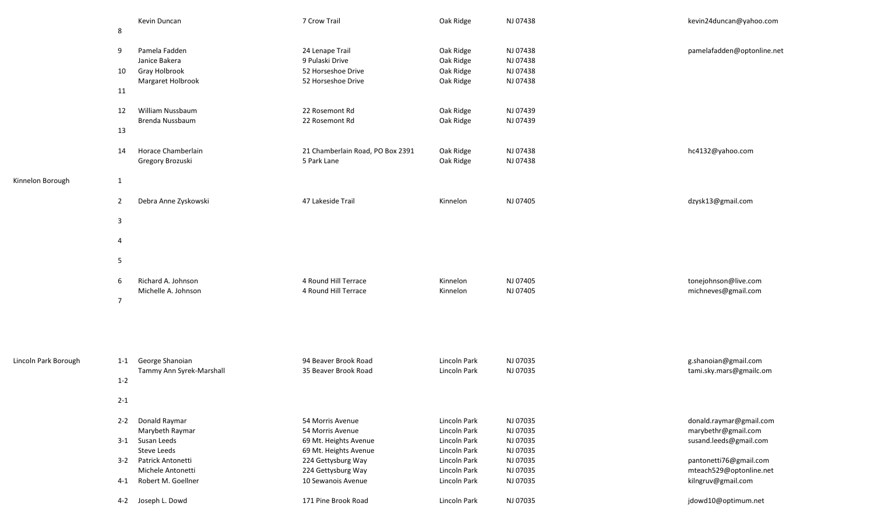|                      | 8              | Kevin Duncan                                | 7 Crow Trail                                    | Oak Ridge                    | NJ 07438             | kevin24duncan@yahoo.com                        |
|----------------------|----------------|---------------------------------------------|-------------------------------------------------|------------------------------|----------------------|------------------------------------------------|
|                      | 9              | Pamela Fadden<br>Janice Bakera              | 24 Lenape Trail<br>9 Pulaski Drive              | Oak Ridge<br>Oak Ridge       | NJ 07438<br>NJ 07438 | pamelafadden@optonline.net                     |
|                      | 10             | Gray Holbrook                               | 52 Horseshoe Drive                              | Oak Ridge                    | NJ 07438             |                                                |
|                      | 11             | Margaret Holbrook                           | 52 Horseshoe Drive                              | Oak Ridge                    | NJ 07438             |                                                |
|                      | 12             | William Nussbaum<br>Brenda Nussbaum         | 22 Rosemont Rd<br>22 Rosemont Rd                | Oak Ridge<br>Oak Ridge       | NJ 07439<br>NJ 07439 |                                                |
|                      | 13             |                                             |                                                 |                              |                      |                                                |
|                      | 14             | Horace Chamberlain<br>Gregory Brozuski      | 21 Chamberlain Road, PO Box 2391<br>5 Park Lane | Oak Ridge<br>Oak Ridge       | NJ 07438<br>NJ 07438 | hc4132@yahoo.com                               |
| Kinnelon Borough     | $\mathbf{1}$   |                                             |                                                 |                              |                      |                                                |
|                      | $\overline{2}$ | Debra Anne Zyskowski                        | 47 Lakeside Trail                               | Kinnelon                     | NJ 07405             | dzysk13@gmail.com                              |
|                      | 3              |                                             |                                                 |                              |                      |                                                |
|                      | 4              |                                             |                                                 |                              |                      |                                                |
|                      | 5              |                                             |                                                 |                              |                      |                                                |
|                      | 6              | Richard A. Johnson                          | 4 Round Hill Terrace                            | Kinnelon                     | NJ 07405             | tonejohnson@live.com                           |
|                      | $\overline{7}$ | Michelle A. Johnson                         | 4 Round Hill Terrace                            | Kinnelon                     | NJ 07405             | michneves@gmail.com                            |
| Lincoln Park Borough | $1 - 1$        | George Shanoian                             | 94 Beaver Brook Road                            | Lincoln Park                 | NJ 07035             | g.shanoian@gmail.com                           |
|                      |                | Tammy Ann Syrek-Marshall                    | 35 Beaver Brook Road                            | Lincoln Park                 | NJ 07035             | tami.sky.mars@gmailc.om                        |
|                      | $1 - 2$        |                                             |                                                 |                              |                      |                                                |
|                      | $2 - 1$        |                                             |                                                 |                              |                      |                                                |
|                      | $2 - 2$        | Donald Raymar<br>Marybeth Raymar            | 54 Morris Avenue<br>54 Morris Avenue            | Lincoln Park<br>Lincoln Park | NJ 07035<br>NJ 07035 | donald.raymar@gmail.com<br>marybethr@gmail.com |
|                      |                | 3-1 Susan Leeds                             | 69 Mt. Heights Avenue                           | Lincoln Park                 | NJ 07035             | susand.leeds@gmail.com                         |
|                      |                | Steve Leeds                                 | 69 Mt. Heights Avenue                           | Lincoln Park                 | NJ 07035             |                                                |
|                      | $3 - 2$        | Patrick Antonetti                           | 224 Gettysburg Way                              | Lincoln Park                 | NJ 07035             | pantonetti76@gmail.com                         |
|                      |                | Michele Antonetti<br>4-1 Robert M. Goellner | 224 Gettysburg Way<br>10 Sewanois Avenue        | Lincoln Park<br>Lincoln Park | NJ 07035<br>NJ 07035 | mteach529@optonline.net<br>kilngruv@gmail.com  |
|                      | 4-2            | Joseph L. Dowd                              | 171 Pine Brook Road                             | Lincoln Park                 | NJ 07035             | jdowd10@optimum.net                            |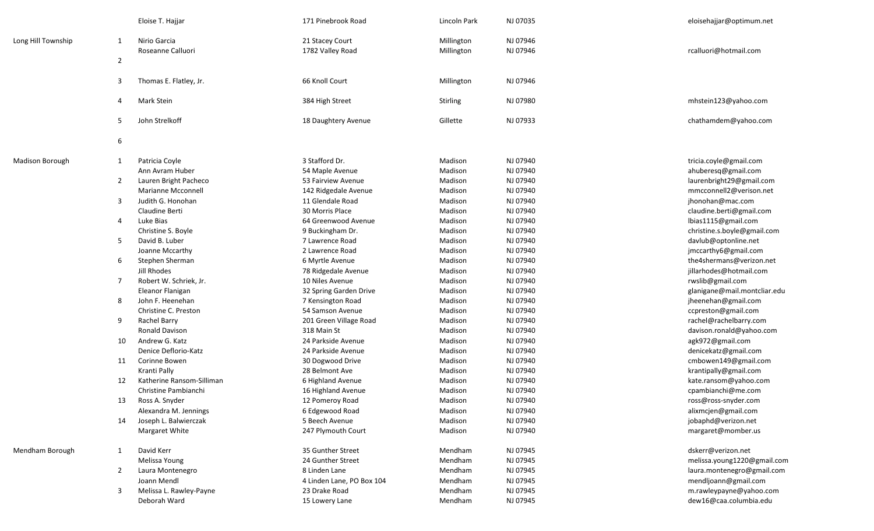|                        |                | Eloise T. Hajjar                  | 171 Pinebrook Road                  | Lincoln Park             | NJ 07035             | eloisehajjar@optimum.net     |
|------------------------|----------------|-----------------------------------|-------------------------------------|--------------------------|----------------------|------------------------------|
| Long Hill Township     | 1              | Nirio Garcia<br>Roseanne Calluori | 21 Stacey Court<br>1782 Valley Road | Millington<br>Millington | NJ 07946<br>NJ 07946 | rcalluori@hotmail.com        |
|                        | $\overline{2}$ |                                   |                                     |                          |                      |                              |
|                        | -3             | Thomas E. Flatley, Jr.            | 66 Knoll Court                      | Millington               | NJ 07946             |                              |
|                        | $\overline{4}$ | Mark Stein                        | 384 High Street                     | Stirling                 | NJ 07980             | mhstein123@yahoo.com         |
|                        | 5              | John Strelkoff                    | 18 Daughtery Avenue                 | Gillette                 | NJ 07933             | chathamdem@yahoo.com         |
|                        | 6              |                                   |                                     |                          |                      |                              |
| <b>Madison Borough</b> | $\mathbf{1}$   | Patricia Coyle                    | 3 Stafford Dr.                      | Madison                  | NJ 07940             | tricia.coyle@gmail.com       |
|                        |                | Ann Avram Huber                   | 54 Maple Avenue                     | Madison                  | NJ 07940             | ahuberesq@gmail.com          |
|                        | $\overline{2}$ | Lauren Bright Pacheco             | 53 Fairview Avenue                  | Madison                  | NJ 07940             | laurenbright29@gmail.com     |
|                        |                | <b>Marianne Mcconnell</b>         | 142 Ridgedale Avenue                | Madison                  | NJ 07940             | mmcconnell2@verison.net      |
|                        | -3             | Judith G. Honohan                 | 11 Glendale Road                    | Madison                  | NJ 07940             | jhonohan@mac.com             |
|                        |                | Claudine Berti                    | 30 Morris Place                     | Madison                  | NJ 07940             | claudine.berti@gmail.com     |
|                        | -4             | Luke Bias                         | 64 Greenwood Avenue                 | Madison                  | NJ 07940             | lbias1115@gmail.com          |
|                        |                | Christine S. Boyle                | 9 Buckingham Dr.                    | Madison                  | NJ 07940             | christine.s.boyle@gmail.com  |
|                        | -5             | David B. Luber                    | 7 Lawrence Road                     | Madison                  | NJ 07940             | davlub@optonline.net         |
|                        |                | Joanne Mccarthy                   | 2 Lawrence Road                     | Madison                  | NJ 07940             | jmccarthy6@gmail.com         |
|                        | 6              | Stephen Sherman                   | 6 Myrtle Avenue                     | Madison                  | NJ 07940             | the4shermans@verizon.net     |
|                        |                | Jill Rhodes                       | 78 Ridgedale Avenue                 | Madison                  | NJ 07940             | jillarhodes@hotmail.com      |
|                        | -7             | Robert W. Schriek, Jr.            | 10 Niles Avenue                     | Madison                  | NJ 07940             | rwslib@gmail.com             |
|                        |                | Eleanor Flanigan                  | 32 Spring Garden Drive              | Madison                  | NJ 07940             | glanigane@mail.montcliar.edu |
|                        | 8              | John F. Heenehan                  | 7 Kensington Road                   | Madison                  | NJ 07940             | jheenehan@gmail.com          |
|                        |                | Christine C. Preston              | 54 Samson Avenue                    | Madison                  | NJ 07940             | ccpreston@gmail.com          |
|                        | 9              | Rachel Barry                      | 201 Green Village Road              | Madison                  | NJ 07940             | rachel@rachelbarry.com       |
|                        |                | <b>Ronald Davison</b>             | 318 Main St                         | Madison                  | NJ 07940             | davison.ronald@yahoo.com     |
|                        | 10             | Andrew G. Katz                    | 24 Parkside Avenue                  | Madison                  | NJ 07940             | agk972@gmail.com             |
|                        |                | Denice Deflorio-Katz              | 24 Parkside Avenue                  | Madison                  | NJ 07940             | denicekatz@gmail.com         |
|                        | 11             | Corinne Bowen                     | 30 Dogwood Drive                    | Madison                  | NJ 07940             | cmbowen149@gmail.com         |
|                        |                | Kranti Pally                      | 28 Belmont Ave                      | Madison                  | NJ 07940             | krantipally@gmail.com        |
|                        | 12             | Katherine Ransom-Silliman         | 6 Highland Avenue                   | Madison                  | NJ 07940             | kate.ransom@yahoo.com        |
|                        |                | Christine Pambianchi              | 16 Highland Avenue                  | Madison                  | NJ 07940             | cpambianchi@me.com           |
|                        | 13             | Ross A. Snyder                    | 12 Pomeroy Road                     | Madison                  | NJ 07940             | ross@ross-snyder.com         |
|                        |                | Alexandra M. Jennings             | 6 Edgewood Road                     | Madison                  | NJ 07940             | alixmcjen@gmail.com          |
|                        | 14             | Joseph L. Balwierczak             | 5 Beech Avenue                      | Madison                  | NJ 07940             | jobaphd@verizon.net          |
|                        |                | Margaret White                    | 247 Plymouth Court                  | Madison                  | NJ 07940             | margaret@momber.us           |
| Mendham Borough        | 1              | David Kerr                        | 35 Gunther Street                   | Mendham                  | NJ 07945             | dskerr@verizon.net           |
|                        |                | Melissa Young                     | 24 Gunther Street                   | Mendham                  | NJ 07945             | melissa.young1220@gmail.com  |
|                        | $\overline{2}$ | Laura Montenegro                  | 8 Linden Lane                       | Mendham                  | NJ 07945             | laura.montenegro@gmail.com   |
|                        |                | Joann Mendl                       | 4 Linden Lane, PO Box 104           | Mendham                  | NJ 07945             | mendljoann@gmail.com         |
|                        | 3              | Melissa L. Rawley-Payne           | 23 Drake Road                       | Mendham                  | NJ 07945             | m.rawleypayne@yahoo.com      |
|                        |                | Deborah Ward                      | 15 Lowery Lane                      | Mendham                  | NJ 07945             | dew16@caa.columbia.edu       |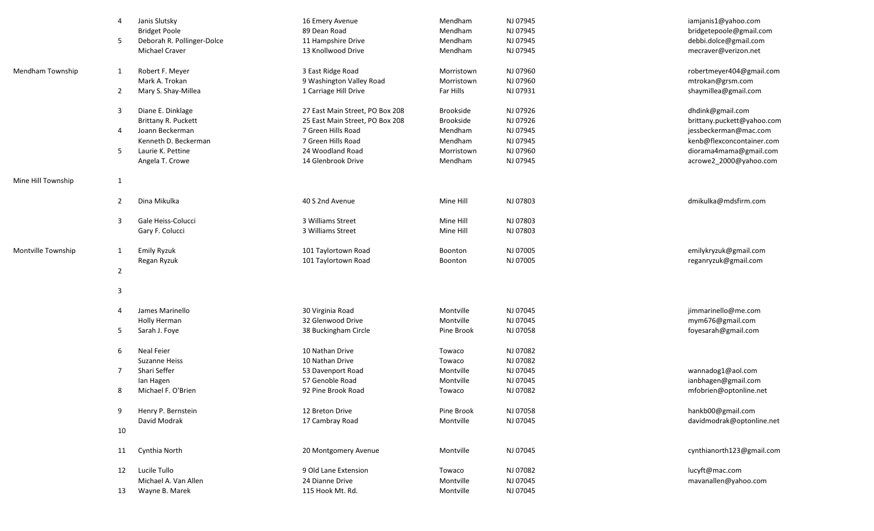|                    | 4              | Janis Slutsky              | 16 Emery Avenue                 | Mendham          | NJ 07945 | iamjanis1@yahoo.com        |
|--------------------|----------------|----------------------------|---------------------------------|------------------|----------|----------------------------|
|                    |                | <b>Bridget Poole</b>       | 89 Dean Road                    | Mendham          | NJ 07945 | bridgetepoole@gmail.com    |
|                    | 5              | Deborah R. Pollinger-Dolce | 11 Hampshire Drive              | Mendham          | NJ 07945 | debbi.dolce@gmail.com      |
|                    |                | <b>Michael Craver</b>      | 13 Knollwood Drive              | Mendham          | NJ 07945 | mecraver@verizon.net       |
| Mendham Township   | 1              | Robert F. Meyer            | 3 East Ridge Road               | Morristown       | NJ 07960 | robertmeyer404@gmail.com   |
|                    |                | Mark A. Trokan             | 9 Washington Valley Road        | Morristown       | NJ 07960 | mtrokan@grsm.com           |
|                    | 2              | Mary S. Shay-Millea        | 1 Carriage Hill Drive           | Far Hills        | NJ 07931 | shaymillea@gmail.com       |
|                    | 3              | Diane E. Dinklage          | 27 East Main Street, PO Box 208 | <b>Brookside</b> | NJ 07926 | dhdink@gmail.com           |
|                    |                | <b>Brittany R. Puckett</b> | 25 East Main Street, PO Box 208 | <b>Brookside</b> | NJ 07926 | brittany.puckett@yahoo.com |
|                    | 4              | Joann Beckerman            | 7 Green Hills Road              | Mendham          | NJ 07945 | jessbeckerman@mac.com      |
|                    |                |                            |                                 |                  |          |                            |
|                    |                | Kenneth D. Beckerman       | 7 Green Hills Road              | Mendham          | NJ 07945 | kenb@flexconcontainer.com  |
|                    | -5             | Laurie K. Pettine          | 24 Woodland Road                | Morristown       | NJ 07960 | diorama4mama@gmail.com     |
|                    |                | Angela T. Crowe            | 14 Glenbrook Drive              | Mendham          | NJ 07945 | acrowe2_2000@yahoo.com     |
| Mine Hill Township | $\mathbf{1}$   |                            |                                 |                  |          |                            |
|                    | 2              | Dina Mikulka               | 40 S 2nd Avenue                 | Mine Hill        | NJ 07803 | dmikulka@mdsfirm.com       |
|                    |                |                            |                                 |                  |          |                            |
|                    | 3              | Gale Heiss-Colucci         | 3 Williams Street               | Mine Hill        | NJ 07803 |                            |
|                    |                | Gary F. Colucci            | 3 Williams Street               | Mine Hill        | NJ 07803 |                            |
|                    |                |                            |                                 |                  |          |                            |
| Montville Township | 1              | Emily Ryzuk                | 101 Taylortown Road             | Boonton          | NJ 07005 | emilykryzuk@gmail.com      |
|                    |                | Regan Ryzuk                | 101 Taylortown Road             | Boonton          | NJ 07005 | reganryzuk@gmail.com       |
|                    | $\overline{2}$ |                            |                                 |                  |          |                            |
|                    | $\overline{3}$ |                            |                                 |                  |          |                            |
|                    |                |                            |                                 |                  |          |                            |
|                    | $\overline{4}$ | James Marinello            | 30 Virginia Road                | Montville        | NJ 07045 | jimmarinello@me.com        |
|                    |                | Holly Herman               | 32 Glenwood Drive               | Montville        | NJ 07045 | mym676@gmail.com           |
|                    | 5              | Sarah J. Foye              | 38 Buckingham Circle            | Pine Brook       | NJ 07058 | foyesarah@gmail.com        |
|                    | 6              | <b>Neal Feier</b>          | 10 Nathan Drive                 | Towaco           | NJ 07082 |                            |
|                    |                | Suzanne Heiss              | 10 Nathan Drive                 | Towaco           | NJ 07082 |                            |
|                    | $\overline{7}$ | Shari Seffer               |                                 | Montville        | NJ 07045 | wannadog1@aol.com          |
|                    |                |                            | 53 Davenport Road               |                  |          |                            |
|                    |                | lan Hagen                  | 57 Genoble Road                 | Montville        | NJ 07045 | ianbhagen@gmail.com        |
|                    | 8              | Michael F. O'Brien         | 92 Pine Brook Road              | Towaco           | NJ 07082 | mfobrien@optonline.net     |
|                    | 9              | Henry P. Bernstein         | 12 Breton Drive                 | Pine Brook       | NJ 07058 | hankb00@gmail.com          |
|                    |                | David Modrak               | 17 Cambray Road                 | Montville        | NJ 07045 | davidmodrak@optonline.net  |
|                    | 10             |                            |                                 |                  |          |                            |
|                    | 11             | Cynthia North              | 20 Montgomery Avenue            | Montville        | NJ 07045 | cynthianorth123@gmail.com  |
|                    |                |                            |                                 |                  |          |                            |
|                    | 12             | Lucile Tullo               | 9 Old Lane Extension            | Towaco           | NJ 07082 | lucyft@mac.com             |
|                    |                | Michael A. Van Allen       | 24 Dianne Drive                 | Montville        | NJ 07045 | mavanallen@yahoo.com       |
|                    | 13             | Wayne B. Marek             | 115 Hook Mt. Rd.                | Montville        | NJ 07045 |                            |
|                    |                |                            |                                 |                  |          |                            |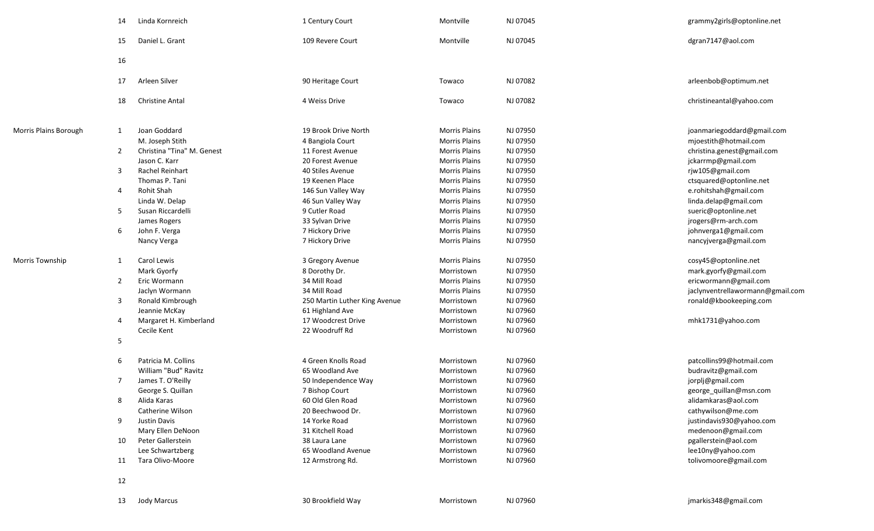|                       | 14             | Linda Kornreich            | 1 Century Court               | Montville            | NJ 07045 | grammy2girls@optonline.net       |
|-----------------------|----------------|----------------------------|-------------------------------|----------------------|----------|----------------------------------|
|                       | 15             | Daniel L. Grant            | 109 Revere Court              | Montville            | NJ 07045 | dgran7147@aol.com                |
|                       | 16             |                            |                               |                      |          |                                  |
|                       | 17             | Arleen Silver              | 90 Heritage Court             | Towaco               | NJ 07082 | arleenbob@optimum.net            |
|                       | 18             | <b>Christine Antal</b>     | 4 Weiss Drive                 | Towaco               | NJ 07082 | christineantal@yahoo.com         |
| Morris Plains Borough | 1              | Joan Goddard               | 19 Brook Drive North          | <b>Morris Plains</b> | NJ 07950 | joanmariegoddard@gmail.com       |
|                       |                | M. Joseph Stith            | 4 Bangiola Court              | <b>Morris Plains</b> | NJ 07950 | mjoestith@hotmail.com            |
|                       | $\overline{2}$ | Christina "Tina" M. Genest | 11 Forest Avenue              | <b>Morris Plains</b> | NJ 07950 | christina.genest@gmail.com       |
|                       |                | Jason C. Karr              | 20 Forest Avenue              | <b>Morris Plains</b> | NJ 07950 | jckarrmp@gmail.com               |
|                       | 3              | Rachel Reinhart            | 40 Stiles Avenue              | <b>Morris Plains</b> | NJ 07950 | rjw105@gmail.com                 |
|                       |                | Thomas P. Tani             | 19 Keenen Place               | <b>Morris Plains</b> | NJ 07950 | ctsquared@optonline.net          |
|                       | 4              | Rohit Shah                 | 146 Sun Valley Way            | <b>Morris Plains</b> | NJ 07950 | e.rohitshah@gmail.com            |
|                       |                | Linda W. Delap             | 46 Sun Valley Way             | <b>Morris Plains</b> | NJ 07950 | linda.delap@gmail.com            |
|                       | 5              | Susan Riccardelli          | 9 Cutler Road                 | <b>Morris Plains</b> | NJ 07950 | sueric@optonline.net             |
|                       |                | James Rogers               | 33 Sylvan Drive               | <b>Morris Plains</b> | NJ 07950 | jrogers@rm-arch.com              |
|                       | 6              | John F. Verga              | 7 Hickory Drive               | <b>Morris Plains</b> | NJ 07950 | johnverga1@gmail.com             |
|                       |                | Nancy Verga                | 7 Hickory Drive               | <b>Morris Plains</b> | NJ 07950 | nancyjverga@gmail.com            |
| Morris Township       | 1              | Carol Lewis                | 3 Gregory Avenue              | <b>Morris Plains</b> | NJ 07950 | cosy45@optonline.net             |
|                       |                | Mark Gyorfy                | 8 Dorothy Dr.                 | Morristown           | NJ 07950 | mark.gyorfy@gmail.com            |
|                       | $\overline{2}$ | Eric Wormann               | 34 Mill Road                  | <b>Morris Plains</b> | NJ 07950 | ericwormann@gmail.com            |
|                       |                | Jaclyn Wormann             | 34 Mill Road                  | <b>Morris Plains</b> | NJ 07950 | jaclynventrellawormann@gmail.com |
|                       | 3              | Ronald Kimbrough           | 250 Martin Luther King Avenue | Morristown           | NJ 07960 | ronald@kbookeeping.com           |
|                       |                | Jeannie McKay              | 61 Highland Ave               | Morristown           | NJ 07960 |                                  |
|                       | 4              | Margaret H. Kimberland     | 17 Woodcrest Drive            | Morristown           | NJ 07960 | mhk1731@yahoo.com                |
|                       |                | Cecile Kent                | 22 Woodruff Rd                | Morristown           | NJ 07960 |                                  |
|                       | 5              |                            |                               |                      |          |                                  |
|                       | 6              | Patricia M. Collins        | 4 Green Knolls Road           | Morristown           | NJ 07960 | patcollins99@hotmail.com         |
|                       |                | William "Bud" Ravitz       | 65 Woodland Ave               | Morristown           | NJ 07960 | budravitz@gmail.com              |
|                       | 7              | James T. O'Reilly          | 50 Independence Way           | Morristown           | NJ 07960 | jorplj@gmail.com                 |
|                       |                | George S. Quillan          | 7 Bishop Court                | Morristown           | NJ 07960 | george_quillan@msn.com           |
|                       | 8              | Alida Karas                | 60 Old Glen Road              | Morristown           | NJ 07960 | alidamkaras@aol.com              |
|                       |                | Catherine Wilson           | 20 Beechwood Dr.              | Morristown           | NJ 07960 | cathywilson@me.com               |
|                       | 9              | Justin Davis               | 14 Yorke Road                 | Morristown           | NJ 07960 | justindavis930@yahoo.com         |
|                       |                | Mary Ellen DeNoon          | 31 Kitchell Road              | Morristown           | NJ 07960 | medenoon@gmail.com               |
|                       | 10             | Peter Gallerstein          | 38 Laura Lane                 | Morristown           | NJ 07960 | pgallerstein@aol.com             |
|                       |                | Lee Schwartzberg           | 65 Woodland Avenue            | Morristown           | NJ 07960 | lee10ny@yahoo.com                |
|                       | 11             | Tara Olivo-Moore           | 12 Armstrong Rd.              | Morristown           | NJ 07960 | tolivomoore@gmail.com            |
|                       | 12             |                            |                               |                      |          |                                  |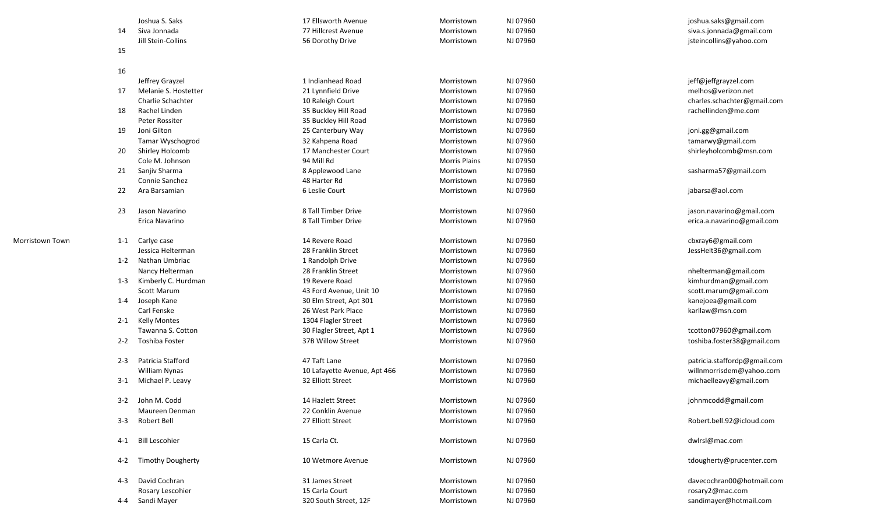|                 |         | Joshua S. Saks           | 17 Ellsworth Avenue          | Morristown           | NJ 07960 | joshua.saks@gmail.com        |
|-----------------|---------|--------------------------|------------------------------|----------------------|----------|------------------------------|
|                 | 14      | Siva Jonnada             | 77 Hillcrest Avenue          | Morristown           | NJ 07960 | siva.s.jonnada@gmail.com     |
|                 |         | Jill Stein-Collins       | 56 Dorothy Drive             | Morristown           | NJ 07960 | jsteincollins@yahoo.com      |
|                 | 15      |                          |                              |                      |          |                              |
|                 | 16      |                          |                              |                      |          |                              |
|                 |         | Jeffrey Grayzel          | 1 Indianhead Road            | Morristown           | NJ 07960 | jeff@jeffgrayzel.com         |
|                 | 17      | Melanie S. Hostetter     | 21 Lynnfield Drive           | Morristown           | NJ 07960 | melhos@verizon.net           |
|                 |         | Charlie Schachter        | 10 Raleigh Court             | Morristown           | NJ 07960 | charles.schachter@gmail.com  |
|                 | 18      | Rachel Linden            | 35 Buckley Hill Road         | Morristown           | NJ 07960 | rachellinden@me.com          |
|                 |         | Peter Rossiter           | 35 Buckley Hill Road         | Morristown           | NJ 07960 |                              |
|                 | 19      | Joni Gilton              | 25 Canterbury Way            | Morristown           | NJ 07960 | joni.gg@gmail.com            |
|                 |         | Tamar Wyschogrod         | 32 Kahpena Road              | Morristown           | NJ 07960 | tamarwy@gmail.com            |
|                 | 20      | Shirley Holcomb          | 17 Manchester Court          | Morristown           | NJ 07960 | shirleyholcomb@msn.com       |
|                 |         | Cole M. Johnson          | 94 Mill Rd                   | <b>Morris Plains</b> | NJ 07950 |                              |
|                 | 21      | Sanjiv Sharma            | 8 Applewood Lane             | Morristown           | NJ 07960 | sasharma57@gmail.com         |
|                 |         | Connie Sanchez           | 48 Harter Rd                 | Morristown           | NJ 07960 |                              |
|                 | 22      | Ara Barsamian            | 6 Leslie Court               | Morristown           | NJ 07960 | jabarsa@aol.com              |
|                 |         |                          |                              |                      |          |                              |
|                 | 23      | Jason Navarino           | 8 Tall Timber Drive          | Morristown           | NJ 07960 | jason.navarino@gmail.com     |
|                 |         | Erica Navarino           | 8 Tall Timber Drive          | Morristown           | NJ 07960 | erica.a.navarino@gmail.com   |
|                 |         |                          |                              |                      |          |                              |
| Morristown Town | $1 - 1$ | Carlye case              | 14 Revere Road               | Morristown           | NJ 07960 | cbxray6@gmail.com            |
|                 |         | Jessica Helterman        | 28 Franklin Street           | Morristown           | NJ 07960 | JessHelt36@gmail.com         |
|                 |         | 1-2 Nathan Umbriac       | 1 Randolph Drive             | Morristown           | NJ 07960 |                              |
|                 |         | Nancy Helterman          | 28 Franklin Street           | Morristown           | NJ 07960 | nhelterman@gmail.com         |
|                 | $1 - 3$ | Kimberly C. Hurdman      | 19 Revere Road               | Morristown           | NJ 07960 | kimhurdman@gmail.com         |
|                 |         | Scott Marum              | 43 Ford Avenue, Unit 10      | Morristown           | NJ 07960 | scott.marum@gmail.com        |
|                 | 1-4     | Joseph Kane              | 30 Elm Street, Apt 301       | Morristown           | NJ 07960 | kanejoea@gmail.com           |
|                 |         | Carl Fenske              | 26 West Park Place           | Morristown           | NJ 07960 | karllaw@msn.com              |
|                 |         | 2-1 Kelly Montes         | 1304 Flagler Street          | Morristown           | NJ 07960 |                              |
|                 |         | Tawanna S. Cotton        | 30 Flagler Street, Apt 1     | Morristown           | NJ 07960 | tcotton07960@gmail.com       |
|                 | $2 - 2$ | Toshiba Foster           | 37B Willow Street            | Morristown           | NJ 07960 | toshiba.foster38@gmail.com   |
|                 |         |                          |                              |                      |          |                              |
|                 | $2 - 3$ | Patricia Stafford        | 47 Taft Lane                 | Morristown           | NJ 07960 | patricia.staffordp@gmail.com |
|                 |         | William Nynas            | 10 Lafayette Avenue, Apt 466 | Morristown           | NJ 07960 | willnmorrisdem@yahoo.com     |
|                 | $3-1$   | Michael P. Leavy         | 32 Elliott Street            | Morristown           | NJ 07960 | michaelleavy@gmail.com       |
|                 |         | 3-2 John M. Codd         | 14 Hazlett Street            | Morristown           | NJ 07960 | johnmcodd@gmail.com          |
|                 |         | Maureen Denman           | 22 Conklin Avenue            | Morristown           | NJ 07960 |                              |
|                 | $3 - 3$ | Robert Bell              | 27 Elliott Street            | Morristown           | NJ 07960 | Robert.bell.92@icloud.com    |
|                 | 4-1     | <b>Bill Lescohier</b>    | 15 Carla Ct.                 | Morristown           | NJ 07960 | dwlrsl@mac.com               |
|                 | 4-2     | <b>Timothy Dougherty</b> | 10 Wetmore Avenue            | Morristown           | NJ 07960 | tdougherty@prucenter.com     |
|                 | 4-3     | David Cochran            | 31 James Street              | Morristown           | NJ 07960 | davecochran00@hotmail.com    |
|                 |         | Rosary Lescohier         | 15 Carla Court               | Morristown           | NJ 07960 | rosary2@mac.com              |
|                 |         | 4-4 Sandi Mayer          | 320 South Street, 12F        | Morristown           | NJ 07960 | sandimayer@hotmail.com       |
|                 |         |                          |                              |                      |          |                              |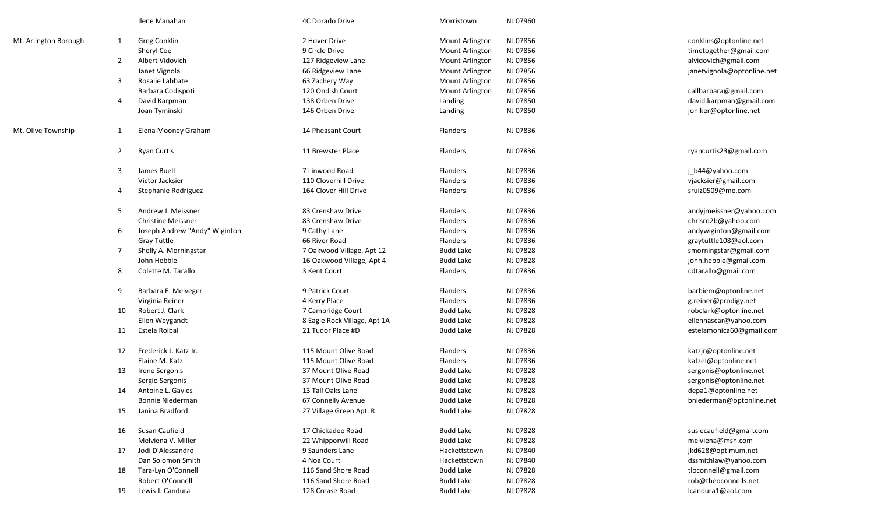|                       |                | Ilene Manahan                 | 4C Dorado Drive              | Morristown             | NJ 07960 |                                            |
|-----------------------|----------------|-------------------------------|------------------------------|------------------------|----------|--------------------------------------------|
|                       |                |                               | 2 Hover Drive                | Mount Arlington        | NJ 07856 | conklins@optonline.net                     |
| Mt. Arlington Borough | $\mathbf{1}$   | Greg Conklin<br>Sheryl Coe    | 9 Circle Drive               | <b>Mount Arlington</b> | NJ 07856 |                                            |
|                       |                | Albert Vidovich               |                              |                        |          | timetogether@gmail.com                     |
|                       | 2              |                               | 127 Ridgeview Lane           | <b>Mount Arlington</b> | NJ 07856 | alvidovich@gmail.com                       |
|                       |                | Janet Vignola                 | 66 Ridgeview Lane            | <b>Mount Arlington</b> | NJ 07856 | janetvignola@optonline.net                 |
|                       | 3              | Rosalie Labbate               | 63 Zachery Way               | <b>Mount Arlington</b> | NJ 07856 |                                            |
|                       |                | Barbara Codispoti             | 120 Ondish Court             | Mount Arlington        | NJ 07856 | callbarbara@gmail.com                      |
|                       | 4              | David Karpman                 | 138 Orben Drive              | Landing                | NJ 07850 | david.karpman@gmail.com                    |
|                       |                | Joan Tyminski                 | 146 Orben Drive              | Landing                | NJ 07850 | johiker@optonline.net                      |
| Mt. Olive Township    | $\mathbf{1}$   | Elena Mooney Graham           | 14 Pheasant Court            | <b>Flanders</b>        | NJ 07836 |                                            |
|                       | $\overline{2}$ | <b>Ryan Curtis</b>            | 11 Brewster Place            | Flanders               | NJ 07836 | ryancurtis23@gmail.com                     |
|                       | 3              | James Buell                   | 7 Linwood Road               | <b>Flanders</b>        | NJ 07836 | j_b44@yahoo.com                            |
|                       |                | Victor Jacksier               | 110 Cloverhill Drive         | Flanders               | NJ 07836 | vjacksier@gmail.com                        |
|                       | 4              | Stephanie Rodriguez           | 164 Clover Hill Drive        | Flanders               | NJ 07836 | sruiz0509@me.com                           |
|                       | 5              | Andrew J. Meissner            | 83 Crenshaw Drive            | Flanders               | NJ 07836 | andyjmeissner@yahoo.com                    |
|                       |                | <b>Christine Meissner</b>     | 83 Crenshaw Drive            | Flanders               | NJ 07836 | chrisrd2b@yahoo.com                        |
|                       | 6              | Joseph Andrew "Andy" Wiginton | 9 Cathy Lane                 | Flanders               | NJ 07836 | andywiginton@gmail.com                     |
|                       |                | <b>Gray Tuttle</b>            | 66 River Road                | Flanders               | NJ 07836 | graytuttle108@aol.com                      |
|                       | -7             | Shelly A. Morningstar         | 7 Oakwood Village, Apt 12    | <b>Budd Lake</b>       | NJ 07828 | smorningstar@gmail.com                     |
|                       |                | John Hebble                   | 16 Oakwood Village, Apt 4    | <b>Budd Lake</b>       | NJ 07828 | john.hebble@gmail.com                      |
|                       | 8              | Colette M. Tarallo            | 3 Kent Court                 |                        | NJ 07836 |                                            |
|                       |                |                               |                              | Flanders               |          | cdtarallo@gmail.com                        |
|                       | 9              | Barbara E. Melveger           | 9 Patrick Court              | Flanders               | NJ 07836 | barbiem@optonline.net                      |
|                       |                | Virginia Reiner               | 4 Kerry Place                | Flanders               | NJ 07836 | g.reiner@prodigy.net                       |
|                       | 10             | Robert J. Clark               | 7 Cambridge Court            | <b>Budd Lake</b>       | NJ 07828 | robclark@optonline.net                     |
|                       |                | Ellen Weygandt                | 8 Eagle Rock Village, Apt 1A | <b>Budd Lake</b>       | NJ 07828 | ellennascar@yahoo.com                      |
|                       | 11             | Estela Roibal                 | 21 Tudor Place #D            | <b>Budd Lake</b>       | NJ 07828 | estelamonica60@gmail.com                   |
|                       | 12             | Frederick J. Katz Jr.         | 115 Mount Olive Road         | Flanders               | NJ 07836 | katzjr@optonline.net                       |
|                       |                | Elaine M. Katz                | 115 Mount Olive Road         | Flanders               | NJ 07836 | katzel@optonline.net                       |
|                       | 13             | Irene Sergonis                | 37 Mount Olive Road          | <b>Budd Lake</b>       | NJ 07828 | sergonis@optonline.net                     |
|                       |                | Sergio Sergonis               | 37 Mount Olive Road          | <b>Budd Lake</b>       | NJ 07828 | sergonis@optonline.net                     |
|                       | 14             | Antoine L. Gayles             | 13 Tall Oaks Lane            | <b>Budd Lake</b>       | NJ 07828 | depa1@optonline.net                        |
|                       |                | Bonnie Niederman              | 67 Connelly Avenue           | <b>Budd Lake</b>       | NJ 07828 | bniederman@optonline.net                   |
|                       | 15             | Janina Bradford               | 27 Village Green Apt. R      | <b>Budd Lake</b>       | NJ 07828 |                                            |
|                       | 16             | Susan Caufield                | 17 Chickadee Road            | <b>Budd Lake</b>       | NJ 07828 | susiecaufield@gmail.com                    |
|                       |                | Melviena V. Miller            | 22 Whipporwill Road          | <b>Budd Lake</b>       | NJ 07828 | melviena@msn.com                           |
|                       |                | Jodi D'Alessandro             | 9 Saunders Lane              |                        | NJ 07840 |                                            |
|                       | 17             |                               |                              | Hackettstown           | NJ 07840 | jkd628@optimum.net<br>dssmithlaw@yahoo.com |
|                       |                | Dan Solomon Smith             | 4 Noa Court                  | Hackettstown           |          |                                            |
|                       | 18             | Tara-Lyn O'Connell            | 116 Sand Shore Road          | <b>Budd Lake</b>       | NJ 07828 | tloconnell@gmail.com                       |
|                       |                | Robert O'Connell              | 116 Sand Shore Road          | <b>Budd Lake</b>       | NJ 07828 | rob@theoconnells.net                       |
|                       | 19             | Lewis J. Candura              | 128 Crease Road              | <b>Budd Lake</b>       | NJ 07828 | lcandura1@aol.com                          |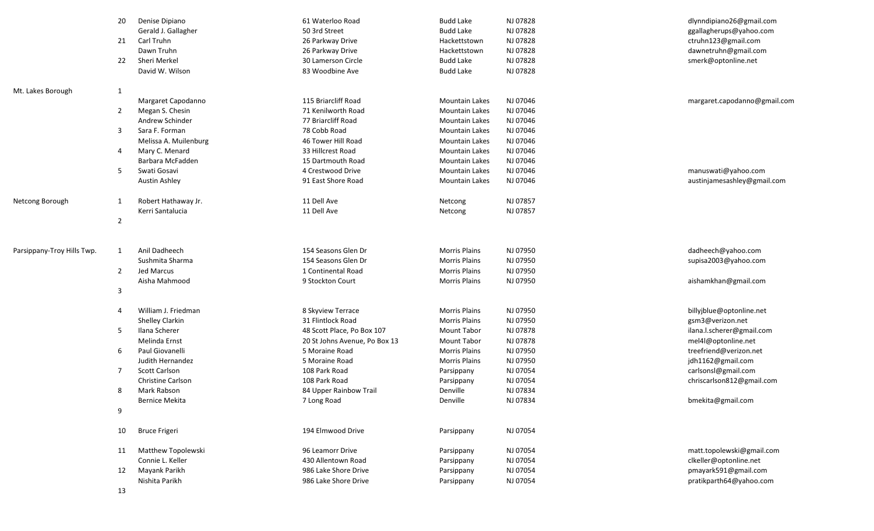|                            | 20             | Denise Dipiano           | 61 Waterloo Road              | <b>Budd Lake</b>      | NJ 07828 | dlynndipiano26@gmail.com     |
|----------------------------|----------------|--------------------------|-------------------------------|-----------------------|----------|------------------------------|
|                            |                | Gerald J. Gallagher      | 50 3rd Street                 | <b>Budd Lake</b>      | NJ 07828 | ggallagherups@yahoo.com      |
|                            | 21             | Carl Truhn               | 26 Parkway Drive              | Hackettstown          | NJ 07828 | ctruhn123@gmail.com          |
|                            |                | Dawn Truhn               | 26 Parkway Drive              | Hackettstown          | NJ 07828 | dawnetruhn@gmail.com         |
|                            | 22             | Sheri Merkel             | 30 Lamerson Circle            | <b>Budd Lake</b>      | NJ 07828 | smerk@optonline.net          |
|                            |                | David W. Wilson          | 83 Woodbine Ave               | <b>Budd Lake</b>      | NJ 07828 |                              |
| Mt. Lakes Borough          | 1              |                          |                               |                       |          |                              |
|                            |                | Margaret Capodanno       | 115 Briarcliff Road           | <b>Mountain Lakes</b> | NJ 07046 | margaret.capodanno@gmail.com |
|                            | 2              | Megan S. Chesin          | 71 Kenilworth Road            | <b>Mountain Lakes</b> | NJ 07046 |                              |
|                            |                | Andrew Schinder          | 77 Briarcliff Road            | <b>Mountain Lakes</b> | NJ 07046 |                              |
|                            | 3              | Sara F. Forman           | 78 Cobb Road                  | <b>Mountain Lakes</b> | NJ 07046 |                              |
|                            |                | Melissa A. Muilenburg    | 46 Tower Hill Road            | <b>Mountain Lakes</b> | NJ 07046 |                              |
|                            | 4              | Mary C. Menard           | 33 Hillcrest Road             | <b>Mountain Lakes</b> | NJ 07046 |                              |
|                            |                | Barbara McFadden         | 15 Dartmouth Road             | <b>Mountain Lakes</b> | NJ 07046 |                              |
|                            | 5              | Swati Gosavi             | 4 Crestwood Drive             | <b>Mountain Lakes</b> | NJ 07046 | manuswati@yahoo.com          |
|                            |                | Austin Ashley            | 91 East Shore Road            | <b>Mountain Lakes</b> | NJ 07046 | austinjamesashley@gmail.com  |
| Netcong Borough            | 1              | Robert Hathaway Jr.      | 11 Dell Ave                   | Netcong               | NJ 07857 |                              |
|                            |                | Kerri Santalucia         | 11 Dell Ave                   | Netcong               | NJ 07857 |                              |
|                            | $\overline{2}$ |                          |                               |                       |          |                              |
|                            |                |                          |                               |                       |          |                              |
| Parsippany-Troy Hills Twp. | $\mathbf{1}$   | Anil Dadheech            | 154 Seasons Glen Dr           | <b>Morris Plains</b>  | NJ 07950 | dadheech@yahoo.com           |
|                            |                | Sushmita Sharma          | 154 Seasons Glen Dr           | <b>Morris Plains</b>  | NJ 07950 | supisa2003@yahoo.com         |
|                            | $\overline{2}$ | Jed Marcus               | 1 Continental Road            | <b>Morris Plains</b>  | NJ 07950 |                              |
|                            |                | Aisha Mahmood            | 9 Stockton Court              | <b>Morris Plains</b>  | NJ 07950 | aishamkhan@gmail.com         |
|                            | 3              |                          |                               |                       |          |                              |
|                            | 4              | William J. Friedman      | 8 Skyview Terrace             | <b>Morris Plains</b>  | NJ 07950 | billyjblue@optonline.net     |
|                            |                | Shelley Clarkin          | 31 Flintlock Road             | <b>Morris Plains</b>  | NJ 07950 | gsm3@verizon.net             |
|                            | 5              | Ilana Scherer            | 48 Scott Place, Po Box 107    | Mount Tabor           | NJ 07878 | ilana.l.scherer@gmail.com    |
|                            |                | Melinda Ernst            | 20 St Johns Avenue, Po Box 13 | Mount Tabor           | NJ 07878 | mel4l@optonline.net          |
|                            | 6              | Paul Giovanelli          | 5 Moraine Road                | <b>Morris Plains</b>  | NJ 07950 | treefriend@verizon.net       |
|                            |                | Judith Hernandez         | 5 Moraine Road                | <b>Morris Plains</b>  | NJ 07950 | jdh1162@gmail.com            |
|                            | 7              | Scott Carlson            | 108 Park Road                 | Parsippany            | NJ 07054 | carlsonsl@gmail.com          |
|                            |                | <b>Christine Carlson</b> | 108 Park Road                 | Parsippany            | NJ 07054 | chriscarlson812@gmail.com    |
|                            | 8              | Mark Rabson              | 84 Upper Rainbow Trail        | Denville              | NJ 07834 |                              |
|                            |                | <b>Bernice Mekita</b>    | 7 Long Road                   | Denville              | NJ 07834 | bmekita@gmail.com            |
|                            | 9              |                          |                               |                       |          |                              |
|                            | 10             | <b>Bruce Frigeri</b>     | 194 Elmwood Drive             | Parsippany            | NJ 07054 |                              |
|                            | 11             | Matthew Topolewski       | 96 Leamorr Drive              | Parsippany            | NJ 07054 | matt.topolewski@gmail.com    |
|                            |                | Connie L. Keller         | 430 Allentown Road            | Parsippany            | NJ 07054 | clkeller@optonline.net       |
|                            | 12             | Mayank Parikh            | 986 Lake Shore Drive          | Parsippany            | NJ 07054 | pmayark591@gmail.com         |
|                            |                | Nishita Parikh           | 986 Lake Shore Drive          | Parsippany            | NJ 07054 | pratikparth64@yahoo.com      |
|                            | 13             |                          |                               |                       |          |                              |
|                            |                |                          |                               |                       |          |                              |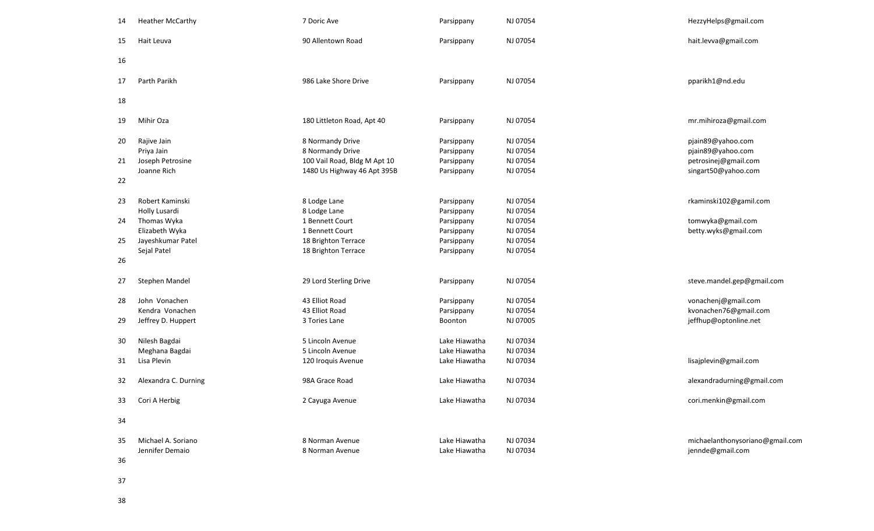| 14 | <b>Heather McCarthy</b> | 7 Doric Ave                  | Parsippany    | NJ 07054 | HezzyHelps@gmail.com            |
|----|-------------------------|------------------------------|---------------|----------|---------------------------------|
| 15 | Hait Leuva              | 90 Allentown Road            | Parsippany    | NJ 07054 | hait.levva@gmail.com            |
| 16 |                         |                              |               |          |                                 |
| 17 | Parth Parikh            | 986 Lake Shore Drive         | Parsippany    | NJ 07054 | pparikh1@nd.edu                 |
| 18 |                         |                              |               |          |                                 |
|    |                         |                              |               |          |                                 |
| 19 | Mihir Oza               | 180 Littleton Road, Apt 40   | Parsippany    | NJ 07054 | mr.mihiroza@gmail.com           |
| 20 | Rajive Jain             | 8 Normandy Drive             | Parsippany    | NJ 07054 | pjain89@yahoo.com               |
|    | Priya Jain              | 8 Normandy Drive             | Parsippany    | NJ 07054 | pjain89@yahoo.com               |
| 21 | Joseph Petrosine        | 100 Vail Road, Bldg M Apt 10 | Parsippany    | NJ 07054 | petrosinej@gmail.com            |
|    | Joanne Rich             | 1480 Us Highway 46 Apt 395B  | Parsippany    | NJ 07054 | singart50@yahoo.com             |
| 22 |                         |                              |               |          |                                 |
| 23 | Robert Kaminski         | 8 Lodge Lane                 | Parsippany    | NJ 07054 | rkaminski102@gamil.com          |
|    | Holly Lusardi           | 8 Lodge Lane                 | Parsippany    | NJ 07054 |                                 |
| 24 | Thomas Wyka             | 1 Bennett Court              | Parsippany    | NJ 07054 | tomwyka@gmail.com               |
|    | Elizabeth Wyka          | 1 Bennett Court              | Parsippany    | NJ 07054 | betty.wyks@gmail.com            |
| 25 | Jayeshkumar Patel       | 18 Brighton Terrace          | Parsippany    | NJ 07054 |                                 |
|    | Sejal Patel             | 18 Brighton Terrace          | Parsippany    | NJ 07054 |                                 |
| 26 |                         |                              |               |          |                                 |
| 27 | Stephen Mandel          | 29 Lord Sterling Drive       | Parsippany    | NJ 07054 | steve.mandel.gep@gmail.com      |
|    |                         |                              |               |          |                                 |
| 28 | John Vonachen           | 43 Elliot Road               | Parsippany    | NJ 07054 | vonachenj@gmail.com             |
|    | Kendra Vonachen         | 43 Elliot Road               | Parsippany    | NJ 07054 | kvonachen76@gmail.com           |
| 29 | Jeffrey D. Huppert      | 3 Tories Lane                | Boonton       | NJ 07005 | jeffhup@optonline.net           |
|    |                         |                              |               |          |                                 |
| 30 | Nilesh Bagdai           | 5 Lincoln Avenue             | Lake Hiawatha | NJ 07034 |                                 |
|    | Meghana Bagdai          | 5 Lincoln Avenue             | Lake Hiawatha | NJ 07034 |                                 |
| 31 | Lisa Plevin             | 120 Iroquis Avenue           | Lake Hiawatha | NJ 07034 | lisajplevin@gmail.com           |
| 32 | Alexandra C. Durning    | 98A Grace Road               | Lake Hiawatha | NJ 07034 | alexandradurning@gmail.com      |
| 33 | Cori A Herbig           | 2 Cayuga Avenue              | Lake Hiawatha | NJ 07034 | cori.menkin@gmail.com           |
| 34 |                         |                              |               |          |                                 |
|    |                         |                              |               |          |                                 |
| 35 | Michael A. Soriano      | 8 Norman Avenue              | Lake Hiawatha | NJ 07034 | michaelanthonysoriano@gmail.com |
|    | Jennifer Demaio         | 8 Norman Avenue              | Lake Hiawatha | NJ 07034 | jennde@gmail.com                |
| 36 |                         |                              |               |          |                                 |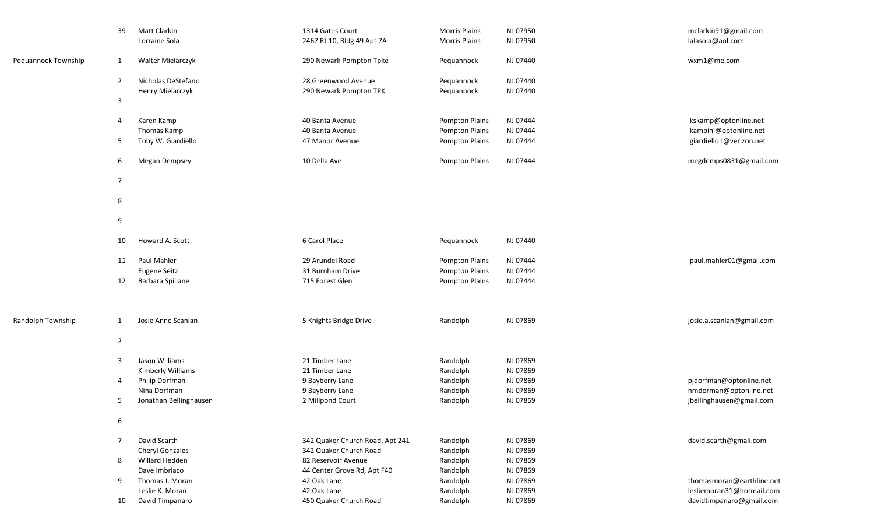|                     | 39             | Matt Clarkin<br>Lorraine Sola          | 1314 Gates Court<br>2467 Rt 10, Bldg 49 Apt 7A | <b>Morris Plains</b><br><b>Morris Plains</b> | NJ 07950<br>NJ 07950 | mclarkin91@gmail.com<br>lalasola@aol.com           |
|---------------------|----------------|----------------------------------------|------------------------------------------------|----------------------------------------------|----------------------|----------------------------------------------------|
| Pequannock Township | 1              | Walter Mielarczyk                      | 290 Newark Pompton Tpke                        | Pequannock                                   | NJ 07440             | wxm1@me.com                                        |
|                     | $\overline{2}$ | Nicholas DeStefano                     | 28 Greenwood Avenue                            | Pequannock                                   | NJ 07440             |                                                    |
|                     | $\mathsf 3$    | Henry Mielarczyk                       | 290 Newark Pompton TPK                         | Pequannock                                   | NJ 07440             |                                                    |
|                     | 4              | Karen Kamp                             | 40 Banta Avenue                                | <b>Pompton Plains</b>                        | NJ 07444             | kskamp@optonline.net                               |
|                     | 5              | Thomas Kamp<br>Toby W. Giardiello      | 40 Banta Avenue<br>47 Manor Avenue             | Pompton Plains<br><b>Pompton Plains</b>      | NJ 07444<br>NJ 07444 | kampini@optonline.net<br>giardiello1@verizon.net   |
|                     | 6              | Megan Dempsey                          | 10 Della Ave                                   | Pompton Plains                               | NJ 07444             | megdemps0831@gmail.com                             |
|                     | $\overline{7}$ |                                        |                                                |                                              |                      |                                                    |
|                     | 8              |                                        |                                                |                                              |                      |                                                    |
|                     | 9              |                                        |                                                |                                              |                      |                                                    |
|                     | 10             | Howard A. Scott                        | 6 Carol Place                                  | Pequannock                                   | NJ 07440             |                                                    |
|                     | 11             | <b>Paul Mahler</b>                     | 29 Arundel Road                                | <b>Pompton Plains</b>                        | NJ 07444             | paul.mahler01@gmail.com                            |
|                     | 12             | Eugene Seitz<br>Barbara Spillane       | 31 Burnham Drive<br>715 Forest Glen            | Pompton Plains<br><b>Pompton Plains</b>      | NJ 07444<br>NJ 07444 |                                                    |
|                     |                |                                        |                                                |                                              |                      |                                                    |
| Randolph Township   | $\mathbf{1}$   | Josie Anne Scanlan                     | 5 Knights Bridge Drive                         | Randolph                                     | NJ 07869             | josie.a.scanlan@gmail.com                          |
|                     | $\overline{2}$ |                                        |                                                |                                              |                      |                                                    |
|                     | 3              | Jason Williams                         | 21 Timber Lane                                 | Randolph                                     | NJ 07869             |                                                    |
|                     |                | Kimberly Williams                      | 21 Timber Lane                                 | Randolph                                     | NJ 07869             |                                                    |
|                     | 4              | Philip Dorfman                         | 9 Bayberry Lane                                | Randolph                                     | NJ 07869             | pjdorfman@optonline.net                            |
|                     | 5              | Nina Dorfman<br>Jonathan Bellinghausen | 9 Bayberry Lane<br>2 Millpond Court            | Randolph<br>Randolph                         | NJ 07869<br>NJ 07869 | nmdorman@optonline.net<br>jbellinghausen@gmail.com |
|                     | 6              |                                        |                                                |                                              |                      |                                                    |
|                     | $\overline{7}$ | David Scarth                           | 342 Quaker Church Road, Apt 241                | Randolph                                     | NJ 07869             | david.scarth@gmail.com                             |
|                     |                | Cheryl Gonzales                        | 342 Quaker Church Road                         | Randolph                                     | NJ 07869             |                                                    |
|                     | 8              | Willard Hedden                         | 82 Reservoir Avenue                            | Randolph                                     | NJ 07869             |                                                    |
|                     |                | Dave Imbriaco                          | 44 Center Grove Rd, Apt F40                    | Randolph                                     | NJ 07869             |                                                    |
|                     | 9              | Thomas J. Moran                        | 42 Oak Lane                                    | Randolph                                     | NJ 07869             | thomasmoran@earthline.net                          |
|                     |                | Leslie K. Moran                        | 42 Oak Lane                                    | Randolph                                     | NJ 07869             | lesliemoran31@hotmail.com                          |
|                     | 10             | David Timpanaro                        | 450 Quaker Church Road                         | Randolph                                     | NJ 07869             | davidtimpanaro@gmail.com                           |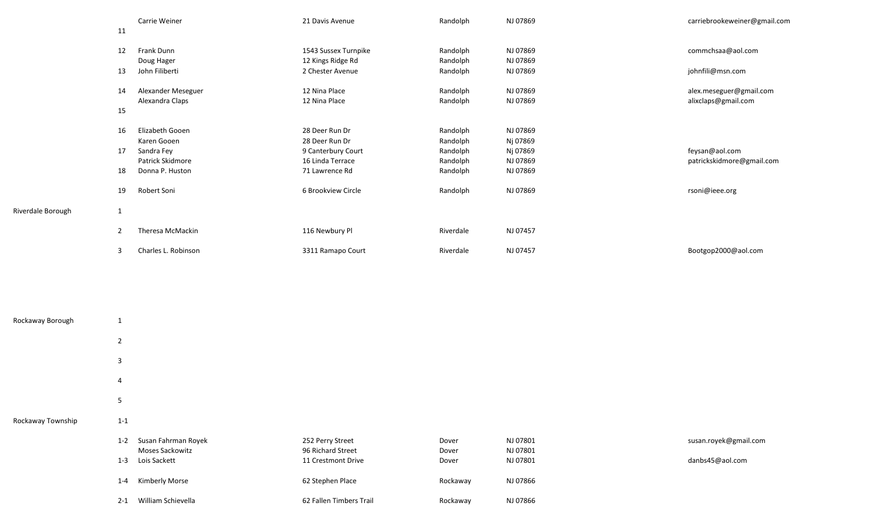|                                   | Carrie Weiner       | 21 Davis Avenue      | Randolph  | NJ 07869 | carriebrookeweiner@gmail.com |
|-----------------------------------|---------------------|----------------------|-----------|----------|------------------------------|
| 11                                |                     |                      |           |          |                              |
| 12                                | Frank Dunn          | 1543 Sussex Turnpike | Randolph  | NJ 07869 | commchsaa@aol.com            |
|                                   | Doug Hager          | 12 Kings Ridge Rd    | Randolph  | NJ 07869 |                              |
| 13                                | John Filiberti      | 2 Chester Avenue     | Randolph  | NJ 07869 | johnfili@msn.com             |
| 14                                | Alexander Meseguer  | 12 Nina Place        | Randolph  | NJ 07869 | alex.meseguer@gmail.com      |
|                                   | Alexandra Claps     | 12 Nina Place        | Randolph  | NJ 07869 | alixclaps@gmail.com          |
| 15                                |                     |                      |           |          |                              |
| 16                                | Elizabeth Gooen     | 28 Deer Run Dr       | Randolph  | NJ 07869 |                              |
|                                   | Karen Gooen         | 28 Deer Run Dr       | Randolph  | Nj 07869 |                              |
| 17                                | Sandra Fey          | 9 Canterbury Court   | Randolph  | Nj 07869 | feysan@aol.com               |
|                                   | Patrick Skidmore    | 16 Linda Terrace     | Randolph  | NJ 07869 | patrickskidmore@gmail.com    |
| 18                                | Donna P. Huston     | 71 Lawrence Rd       | Randolph  | NJ 07869 |                              |
| 19                                | Robert Soni         | 6 Brookview Circle   | Randolph  | NJ 07869 | rsoni@ieee.org               |
| Riverdale Borough<br>$\mathbf{1}$ |                     |                      |           |          |                              |
| 2                                 | Theresa McMackin    | 116 Newbury Pl       | Riverdale | NJ 07457 |                              |
| 3                                 | Charles L. Robinson | 3311 Ramapo Court    | Riverdale | NJ 07457 | Bootgop2000@aol.com          |

| Rockaway Borough  | 1                  |                                                               |                                                             |                         |                                  |                                          |
|-------------------|--------------------|---------------------------------------------------------------|-------------------------------------------------------------|-------------------------|----------------------------------|------------------------------------------|
|                   | $\overline{2}$     |                                                               |                                                             |                         |                                  |                                          |
|                   | 3                  |                                                               |                                                             |                         |                                  |                                          |
|                   | 4                  |                                                               |                                                             |                         |                                  |                                          |
|                   | 5                  |                                                               |                                                             |                         |                                  |                                          |
| Rockaway Township | $1 - 1$            |                                                               |                                                             |                         |                                  |                                          |
|                   | $1 - 2$<br>$1 - 3$ | Susan Fahrman Royek<br><b>Moses Sackowitz</b><br>Lois Sackett | 252 Perry Street<br>96 Richard Street<br>11 Crestmont Drive | Dover<br>Dover<br>Dover | NJ 07801<br>NJ 07801<br>NJ 07801 | susan.royek@gmail.com<br>danbs45@aol.com |
|                   | $1 - 4$            | Kimberly Morse                                                | 62 Stephen Place                                            | Rockaway                | NJ 07866                         |                                          |
|                   | $2 - 1$            | William Schievella                                            | 62 Fallen Timbers Trail                                     | Rockaway                | NJ 07866                         |                                          |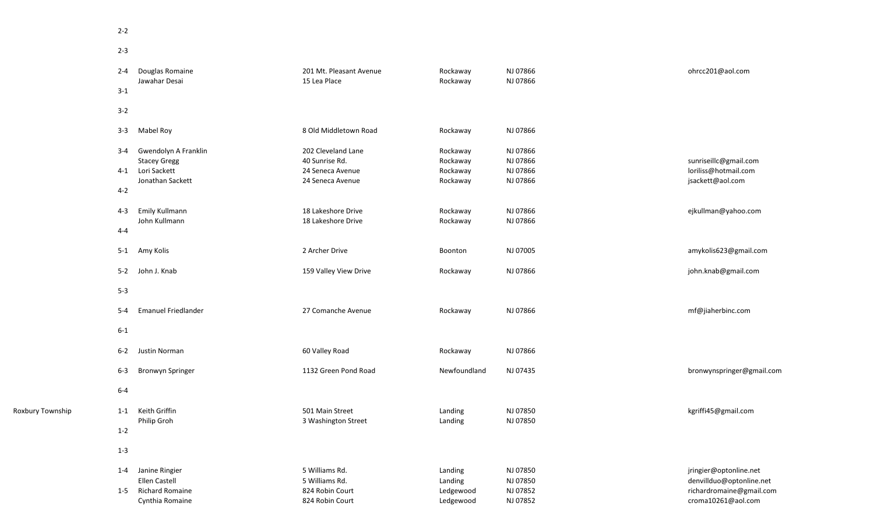2-3

|                  | $2 - 4$          | Douglas Romaine<br>Jawahar Desai            | 201 Mt. Pleasant Avenue<br>15 Lea Place | Rockaway<br>Rockaway | NJ 07866<br>NJ 07866 | ohrcc201@aol.com                                     |
|------------------|------------------|---------------------------------------------|-----------------------------------------|----------------------|----------------------|------------------------------------------------------|
|                  | $3 - 1$          |                                             |                                         |                      |                      |                                                      |
|                  | $3 - 2$          |                                             |                                         |                      |                      |                                                      |
|                  | $3 - 3$          | Mabel Roy                                   | 8 Old Middletown Road                   | Rockaway             | NJ 07866             |                                                      |
|                  | $3 - 4$          | Gwendolyn A Franklin<br><b>Stacey Gregg</b> | 202 Cleveland Lane<br>40 Sunrise Rd.    | Rockaway<br>Rockaway | NJ 07866<br>NJ 07866 | sunriseillc@gmail.com                                |
|                  | 4-1 Lori Sackett |                                             | 24 Seneca Avenue                        | Rockaway             | NJ 07866             | loriliss@hotmail.com                                 |
|                  |                  | Jonathan Sackett                            | 24 Seneca Avenue                        | Rockaway             | NJ 07866             | jsackett@aol.com                                     |
|                  | $4 - 2$          |                                             |                                         |                      |                      |                                                      |
|                  | 4-3              | Emily Kullmann                              | 18 Lakeshore Drive                      | Rockaway             | NJ 07866             | ejkullman@yahoo.com                                  |
|                  | 4-4              | John Kullmann                               | 18 Lakeshore Drive                      | Rockaway             | NJ 07866             |                                                      |
|                  |                  |                                             |                                         |                      |                      |                                                      |
|                  | 5-1 Amy Kolis    |                                             | 2 Archer Drive                          | Boonton              | NJ 07005             | amykolis623@gmail.com                                |
|                  | 5-2 John J. Knab |                                             | 159 Valley View Drive                   | Rockaway             | NJ 07866             | john.knab@gmail.com                                  |
|                  | $5 - 3$          |                                             |                                         |                      |                      |                                                      |
|                  | 5-4              | <b>Emanuel Friedlander</b>                  | 27 Comanche Avenue                      | Rockaway             | NJ 07866             | mf@jiaherbinc.com                                    |
|                  | $6-1$            |                                             |                                         |                      |                      |                                                      |
|                  |                  | 6-2 Justin Norman                           | 60 Valley Road                          | Rockaway             | NJ 07866             |                                                      |
|                  | $6-3$            | <b>Bronwyn Springer</b>                     | 1132 Green Pond Road                    | Newfoundland         | NJ 07435             | bronwynspringer@gmail.com                            |
|                  | $6-4$            |                                             |                                         |                      |                      |                                                      |
| Roxbury Township | $1 - 1$          | Keith Griffin                               | 501 Main Street                         | Landing              | NJ 07850             | kgriffi45@gmail.com                                  |
|                  |                  | Philip Groh                                 | 3 Washington Street                     | Landing              | NJ 07850             |                                                      |
|                  | $1 - 2$          |                                             |                                         |                      |                      |                                                      |
|                  | $1 - 3$          |                                             |                                         |                      |                      |                                                      |
|                  | 1-4              | Janine Ringier                              | 5 Williams Rd.                          | Landing              | NJ 07850             | jringier@optonline.net                               |
|                  | 1-5              | Ellen Castell<br><b>Richard Romaine</b>     | 5 Williams Rd.<br>824 Robin Court       | Landing<br>Ledgewood | NJ 07850<br>NJ 07852 | denvillduo@optonline.net<br>richardromaine@gmail.com |
|                  |                  | Cynthia Romaine                             | 824 Robin Court                         | Ledgewood            | NJ 07852             | croma10261@aol.com                                   |
|                  |                  |                                             |                                         |                      |                      |                                                      |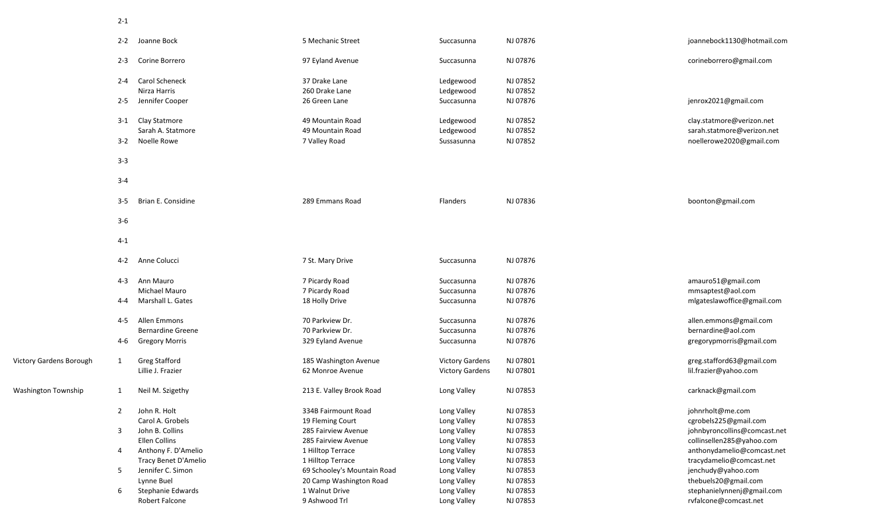|                         |                | 2-2 Joanne Bock          | 5 Mechanic Street           | Succasunna             | NJ 07876 | joannebock1130@hotmail.com   |
|-------------------------|----------------|--------------------------|-----------------------------|------------------------|----------|------------------------------|
|                         | $2 - 3$        | Corine Borrero           | 97 Eyland Avenue            | Succasunna             | NJ 07876 | corineborrero@gmail.com      |
|                         | $2 - 4$        | Carol Scheneck           | 37 Drake Lane               | Ledgewood              | NJ 07852 |                              |
|                         |                | Nirza Harris             | 260 Drake Lane              | Ledgewood              | NJ 07852 |                              |
|                         | $2 - 5$        | Jennifer Cooper          | 26 Green Lane               | Succasunna             | NJ 07876 | jenrox2021@gmail.com         |
|                         | $3-1$          | Clay Statmore            | 49 Mountain Road            | Ledgewood              | NJ 07852 | clay.statmore@verizon.net    |
|                         |                | Sarah A. Statmore        | 49 Mountain Road            | Ledgewood              | NJ 07852 | sarah.statmore@verizon.net   |
|                         | $3 - 2$        | Noelle Rowe              | 7 Valley Road               | Sussasunna             | NJ 07852 | noellerowe2020@gmail.com     |
|                         | $3 - 3$        |                          |                             |                        |          |                              |
|                         | $3 - 4$        |                          |                             |                        |          |                              |
|                         | $3 - 5$        | Brian E. Considine       | 289 Emmans Road             | Flanders               | NJ 07836 | boonton@gmail.com            |
|                         | $3 - 6$        |                          |                             |                        |          |                              |
|                         | $4 - 1$        |                          |                             |                        |          |                              |
|                         | $4 - 2$        | Anne Colucci             | 7 St. Mary Drive            | Succasunna             | NJ 07876 |                              |
|                         | $4 - 3$        | Ann Mauro                | 7 Picardy Road              | Succasunna             | NJ 07876 | amauro51@gmail.com           |
|                         |                | Michael Mauro            | 7 Picardy Road              | Succasunna             | NJ 07876 | mmsaptest@aol.com            |
|                         | 4-4            | Marshall L. Gates        | 18 Holly Drive              | Succasunna             | NJ 07876 | mlgateslawoffice@gmail.com   |
|                         | 4-5            | Allen Emmons             | 70 Parkview Dr.             | Succasunna             | NJ 07876 | allen.emmons@gmail.com       |
|                         |                | <b>Bernardine Greene</b> | 70 Parkview Dr.             | Succasunna             | NJ 07876 | bernardine@aol.com           |
|                         | 4-6            | <b>Gregory Morris</b>    | 329 Eyland Avenue           | Succasunna             | NJ 07876 | gregorypmorris@gmail.com     |
| Victory Gardens Borough | $\mathbf{1}$   | <b>Greg Stafford</b>     | 185 Washington Avenue       | <b>Victory Gardens</b> | NJ 07801 | greg.stafford63@gmail.com    |
|                         |                | Lillie J. Frazier        | 62 Monroe Avenue            | <b>Victory Gardens</b> | NJ 07801 | lil.frazier@yahoo.com        |
| Washington Township     | 1              | Neil M. Szigethy         | 213 E. Valley Brook Road    | Long Valley            | NJ 07853 | carknack@gmail.com           |
|                         | $\overline{2}$ | John R. Holt             | 334B Fairmount Road         | Long Valley            | NJ 07853 | johnrholt@me.com             |
|                         |                | Carol A. Grobels         | 19 Fleming Court            | Long Valley            | NJ 07853 | cgrobels225@gmail.com        |
|                         | 3              | John B. Collins          | 285 Fairview Avenue         | Long Valley            | NJ 07853 | johnbyroncollins@comcast.net |
|                         |                | Ellen Collins            | 285 Fairview Avenue         | Long Valley            | NJ 07853 | collinsellen285@yahoo.com    |
|                         | 4              | Anthony F. D'Amelio      | 1 Hilltop Terrace           | Long Valley            | NJ 07853 | anthonydamelio@comcast.net   |
|                         |                | Tracy Benet D'Amelio     | 1 Hilltop Terrace           | Long Valley            | NJ 07853 | tracydamelio@comcast.net     |
|                         | 5              | Jennifer C. Simon        | 69 Schooley's Mountain Road | Long Valley            | NJ 07853 | jenchudy@yahoo.com           |
|                         |                | Lynne Buel               | 20 Camp Washington Road     | Long Valley            | NJ 07853 | thebuels20@gmail.com         |
|                         | 6              | Stephanie Edwards        | 1 Walnut Drive              | Long Valley            | NJ 07853 | stephanielynnenj@gmail.com   |
|                         |                | Robert Falcone           | 9 Ashwood Trl               | Long Valley            | NJ 07853 | rvfalcone@comcast.net        |